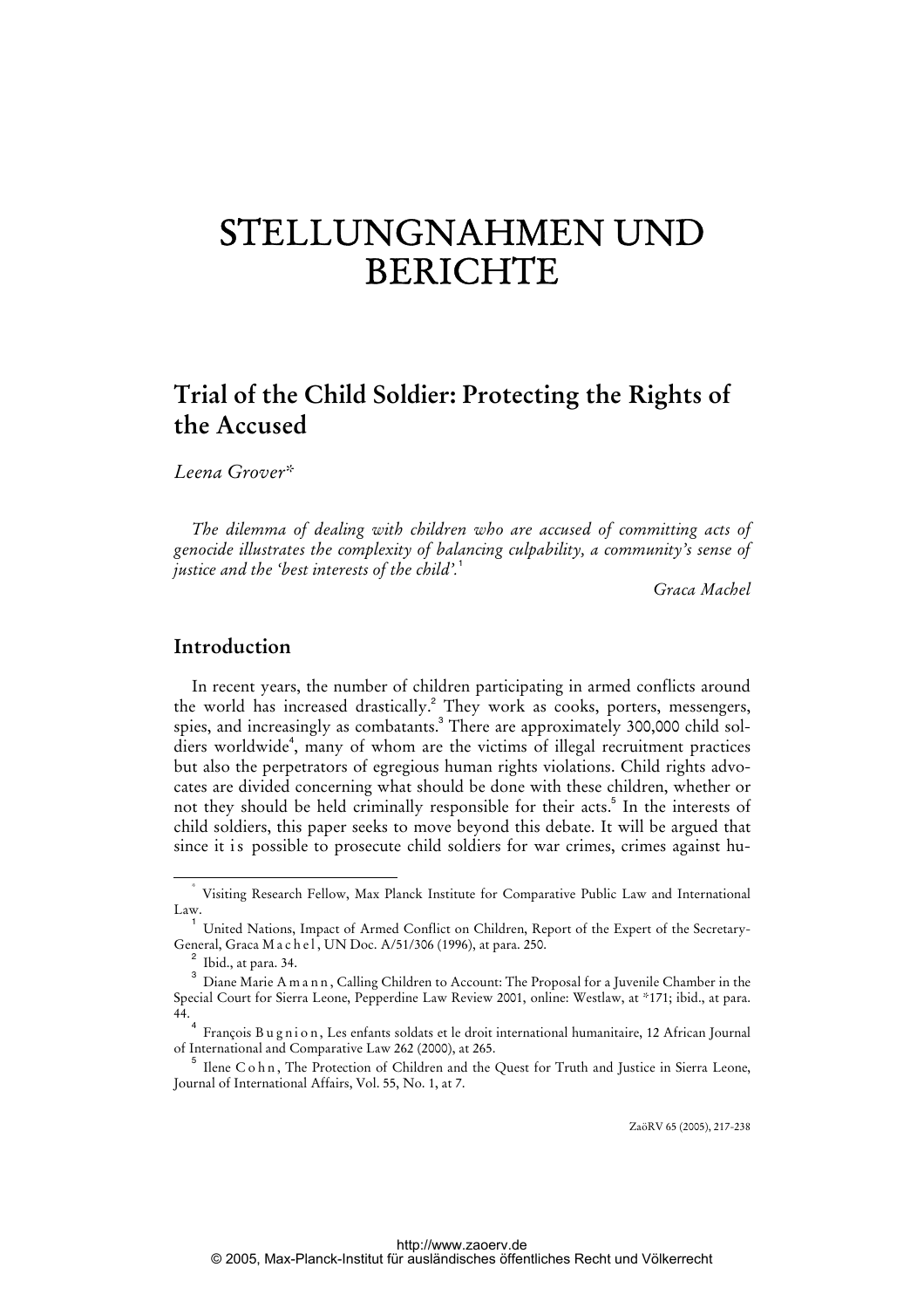# STELLUNGNAHMEN UND BERICHTE

## **Trial of the Child Soldier: Protecting the Rights of the Accused**

*Leena Grover\** 

*The dilemma of dealing with children who are accused of committing acts of genocide illustrates the complexity of balancing culpability, a community's sense of justice and the 'best interests of the child'.*<sup>1</sup>

*Graca Machel* 

## **Introduction**

In recent years, the number of children participating in armed conflicts around the world has increased drastically.<sup>2</sup> They work as cooks, porters, messengers, spies, and increasingly as combatants.<sup>3</sup> There are approximately 300,000 child soldiers worldwide<sup>4</sup>, many of whom are the victims of illegal recruitment practices but also the perpetrators of egregious human rights violations. Child rights advocates are divided concerning what should be done with these children, whether or not they should be held criminally responsible for their acts.<sup>5</sup> In the interests of child soldiers, this paper seeks to move beyond this debate. It will be argued that since it is possible to prosecute child soldiers for war crimes, crimes against hu-

ZaöRV 65 (2005), 217-238

 <sup>\*</sup> Visiting Research Fellow, Max Planck Institute for Comparative Public Law and International Law.

<sup>1</sup> United Nations, Impact of Armed Conflict on Children, Report of the Expert of the Secretary-General, Graca M a c h e l, UN Doc. A/51/306 (1996), at para. 250.

 $^2$  Ibid., at para. 34.

 $^3$  Diane Marie A m a n n , Calling Children to Account: The Proposal for a Juvenile Chamber in the Special Court for Sierra Leone, Pepperdine Law Review 2001, online: Westlaw, at \*171; ibid., at para. 44.

<sup>4</sup> François Bugnion, Les enfants soldats et le droit international humanitaire, 12 African Journal of International and Comparative Law 262 (2000), at 265.

 $^5$  Ilene C o h n, The Protection of Children and the Quest for Truth and Justice in Sierra Leone, Journal of International Affairs, Vol. 55, No. 1, at 7.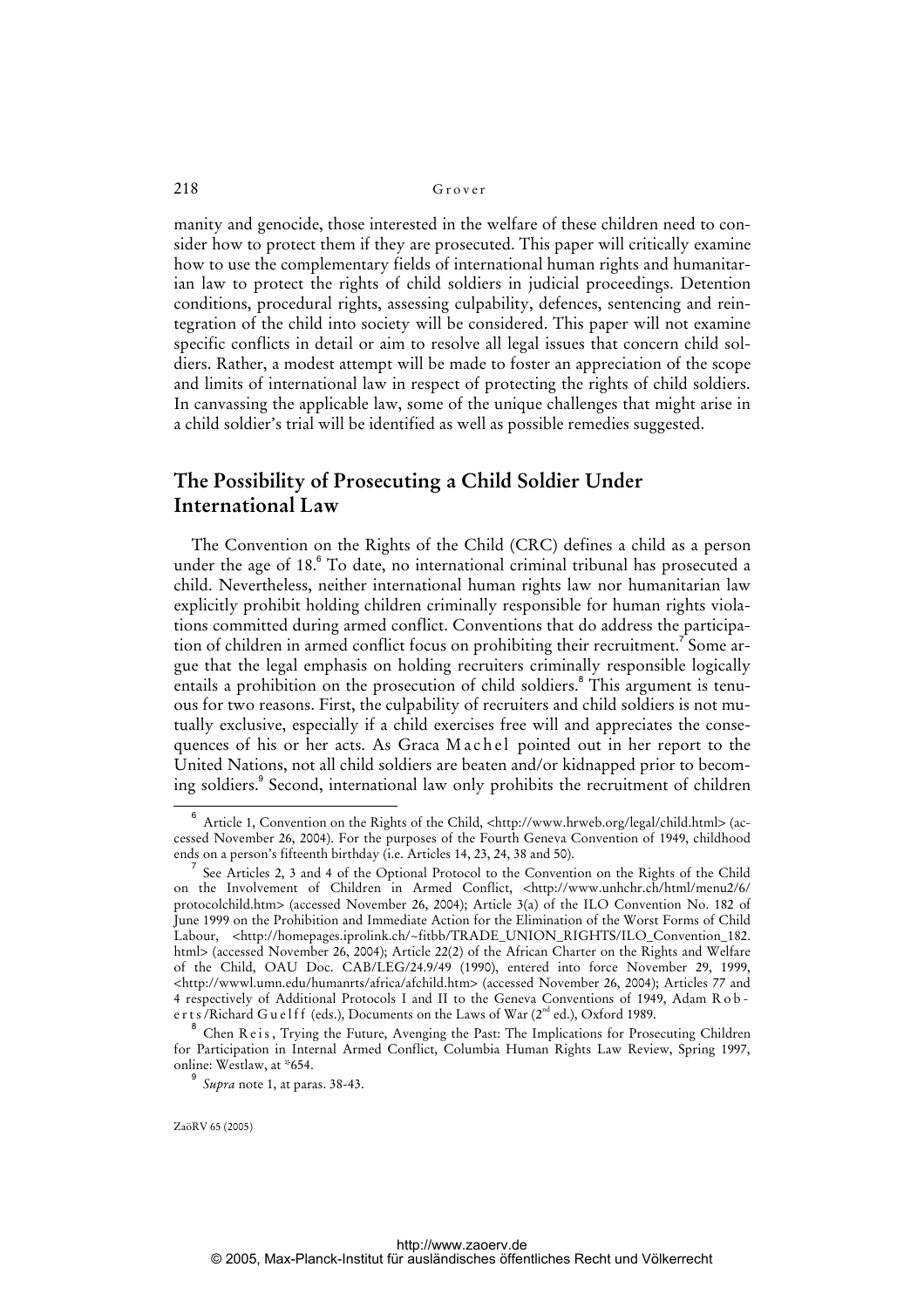manity and genocide, those interested in the welfare of these children need to consider how to protect them if they are prosecuted. This paper will critically examine how to use the complementary fields of international human rights and humanitarian law to protect the rights of child soldiers in judicial proceedings. Detention conditions, procedural rights, assessing culpability, defences, sentencing and reintegration of the child into society will be considered. This paper will not examine specific conflicts in detail or aim to resolve all legal issues that concern child soldiers. Rather, a modest attempt will be made to foster an appreciation of the scope and limits of international law in respect of protecting the rights of child soldiers. In canvassing the applicable law, some of the unique challenges that might arise in a child soldier's trial will be identified as well as possible remedies suggested.

## **The Possibility of Prosecuting a Child Soldier Under International Law**

The Convention on the Rights of the Child (CRC) defines a child as a person under the age of 18.<sup>6</sup> To date, no international criminal tribunal has prosecuted a child. Nevertheless, neither international human rights law nor humanitarian law explicitly prohibit holding children criminally responsible for human rights violations committed during armed conflict. Conventions that do address the participation of children in armed conflict focus on prohibiting their recruitment.<sup>7</sup> Some argue that the legal emphasis on holding recruiters criminally responsible logically entails a prohibition on the prosecution of child soldiers.<sup>8</sup> This argument is tenuous for two reasons. First, the culpability of recruiters and child soldiers is not mutually exclusive, especially if a child exercises free will and appreciates the consequences of his or her acts. As Graca M a c h e l pointed out in her report to the United Nations, not all child soldiers are beaten and/or kidnapped prior to becoming soldiers.<sup>9</sup> Second, international law only prohibits the recruitment of children

9

<sup>6</sup> Article 1, Convention on the Rights of the Child, <[http://www.hrweb.org/legal/child.html>](http://www.hrweb.org/legal/child.html) (accessed November 26, 2004). For the purposes of the Fourth Geneva Convention of 1949, childhood ends on a person's fifteenth birthday (i.e. Articles 14, 23, 24, 38 and 50).

<sup>7</sup> See Articles 2, 3 and 4 of the Optional Protocol to the Convention on the Rights of the Child on the Involvement of Children in Armed Conflict, <<http://www.unhchr.ch/html/menu2/6/> protocolchild.htm> (accessed November 26, 2004); Article 3(a) of the ILO Convention No. 182 of June 1999 on the Prohibition and Immediate Action for the Elimination of the Worst Forms of Child Labour, <[http://homepages.iprolink.ch/~fitbb/TRADE\\_UNION\\_RIGHTS/ILO\\_Convention\\_182.](http://homepages.iprolink.ch/~fitbb/TRADE_UNION_RIGHTS/ILO_Convention_182) html> (accessed November 26, 2004); Article 22(2) of the African Charter on the Rights and Welfare of the Child, OAU Doc. CAB/LEG/24.9/49 (1990), entered into force November 29, 1999, [<http://wwwl.umn.edu/humanrts/africa/afchild.htm>](http://wwwl.umn.edu/humanrts/africa/afchild.htm) (accessed November 26, 2004); Articles 77 and 4 respectively of Additional Protocols I and II to the Geneva Conventions of 1949, Adam R o b erts/Richard Guelff (eds.), Documents on the Laws of War  $(2^{nd}$  ed.), Oxford 1989.

<sup>8</sup> Chen R e is, Trying the Future, Avenging the Past: The Implications for Prosecuting Children for Participation in Internal Armed Conflict, Columbia Human Rights Law Review, Spring 1997, online: Westlaw, at \*654.

*Supra* note 1, at paras. 38-43.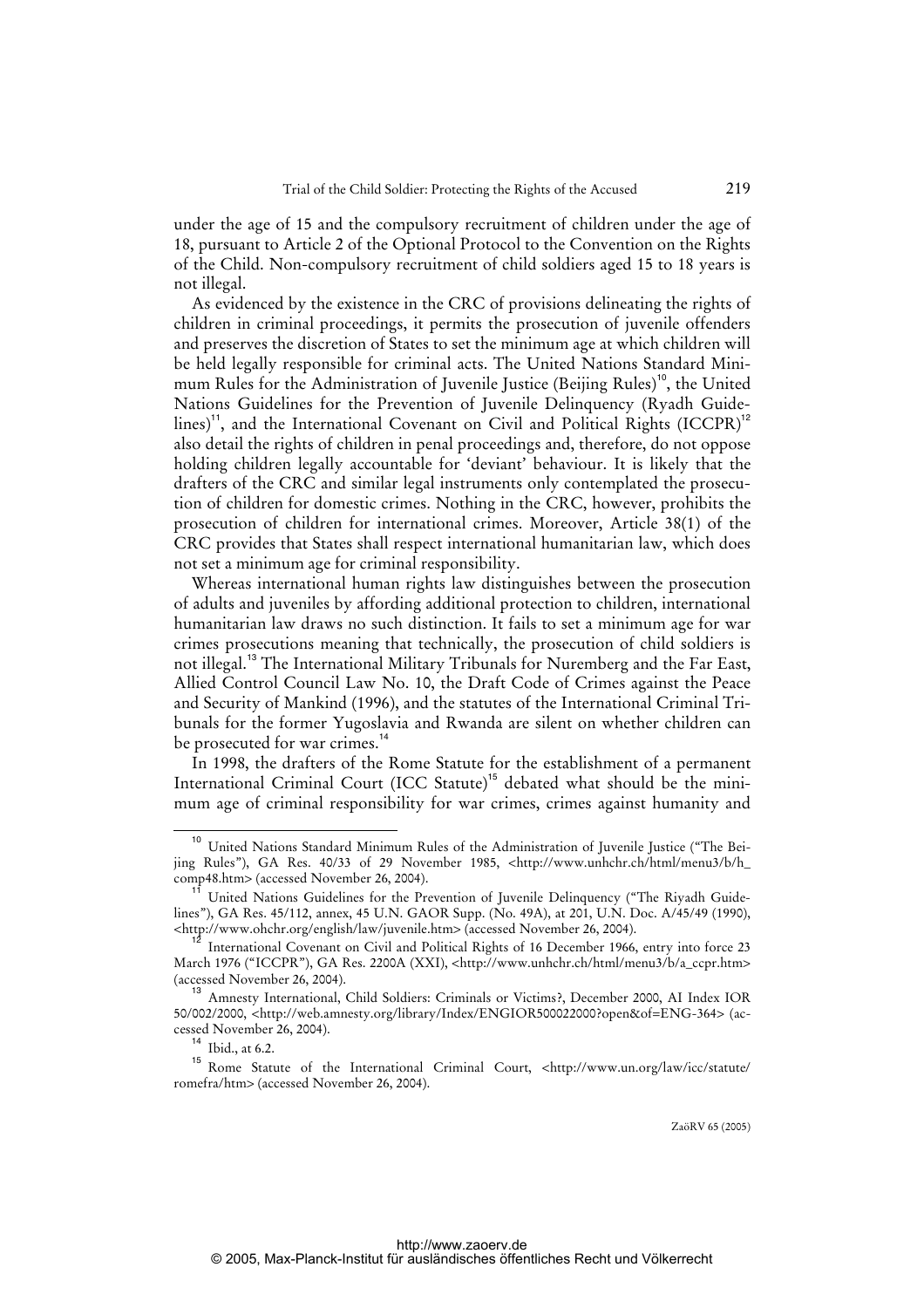under the age of 15 and the compulsory recruitment of children under the age of 18, pursuant to Article 2 of the Optional Protocol to the Convention on the Rights of the Child. Non-compulsory recruitment of child soldiers aged 15 to 18 years is not illegal.

As evidenced by the existence in the CRC of provisions delineating the rights of children in criminal proceedings, it permits the prosecution of juvenile offenders and preserves the discretion of States to set the minimum age at which children will be held legally responsible for criminal acts. The United Nations Standard Minimum Rules for the Administration of Juvenile Justice (Beijing Rules)<sup>10</sup>, the United Nations Guidelines for the Prevention of Juvenile Delinquency (Ryadh Guidelines)<sup>11</sup>, and the International Covenant on Civil and Political Rights  $(ICCPR)^{12}$ also detail the rights of children in penal proceedings and, therefore, do not oppose holding children legally accountable for 'deviant' behaviour. It is likely that the drafters of the CRC and similar legal instruments only contemplated the prosecution of children for domestic crimes. Nothing in the CRC, however, prohibits the prosecution of children for international crimes. Moreover, Article 38(1) of the CRC provides that States shall respect international humanitarian law, which does not set a minimum age for criminal responsibility.

Whereas international human rights law distinguishes between the prosecution of adults and juveniles by affording additional protection to children, international humanitarian law draws no such distinction. It fails to set a minimum age for war crimes prosecutions meaning that technically, the prosecution of child soldiers is not illegal.<sup>13</sup> The International Military Tribunals for Nuremberg and the Far East, Allied Control Council Law No. 10, the Draft Code of Crimes against the Peace and Security of Mankind (1996), and the statutes of the International Criminal Tribunals for the former Yugoslavia and Rwanda are silent on whether children can be prosecuted for war crimes.<sup>14</sup>

In 1998, the drafters of the Rome Statute for the establishment of a permanent International Criminal Court (ICC Statute)<sup>15</sup> debated what should be the minimum age of criminal responsibility for war crimes, crimes against humanity and

<sup>10</sup> United Nations Standard Minimum Rules of the Administration of Juvenile Justice ("The Beijing Rules"), GA Res. 40/33 of 29 November 1985, <http://www.unhchr.ch/html/menu3/b/h comp48.htm> (accessed November 26, 2004).

<sup>&</sup>lt;sup>11</sup> United Nations Guidelines for the Prevention of Juvenile Delinquency ("The Riyadh Guidelines"), GA Res. 45/112, annex, 45 U.N. GAOR Supp. (No. 49A), at 201, U.N. Doc. A/45/49 (1990), [<http://www.ohchr.org/english/law/juvenile.htm>](http://www.ohchr.org/english/law/juvenile.htm) (accessed November 26, 2004).

<sup>12</sup> International Covenant on Civil and Political Rights of 16 December 1966, entry into force 23 March 1976 ("ICCPR"), GA Res. 2200A (XXI), [<http://www.unhchr.ch/html/menu3/b/a\\_ccpr.htm>](http://www.unhchr.ch/html/menu3/b/a_ccpr.htm) (accessed November 26, 2004).

<sup>13</sup> Amnesty International, Child Soldiers: Criminals or Victims?, December 2000, AI Index IOR 50/002/2000, [<http://web.amnesty.org/library/Index/ENGIOR500022000?open&of=ENG-364>](http://web.amnesty.org/library/Index/ENGIOR500022000?open&of=ENG-364) (accessed November 26, 2004).

<sup>14</sup> Ibid., at 6.2.

<sup>15</sup> Rome Statute of the International Criminal Court, [<http://www.un.org/law/icc/statute/](http://www.un.org/law/icc/statute/) romefra/htm> (accessed November 26, 2004).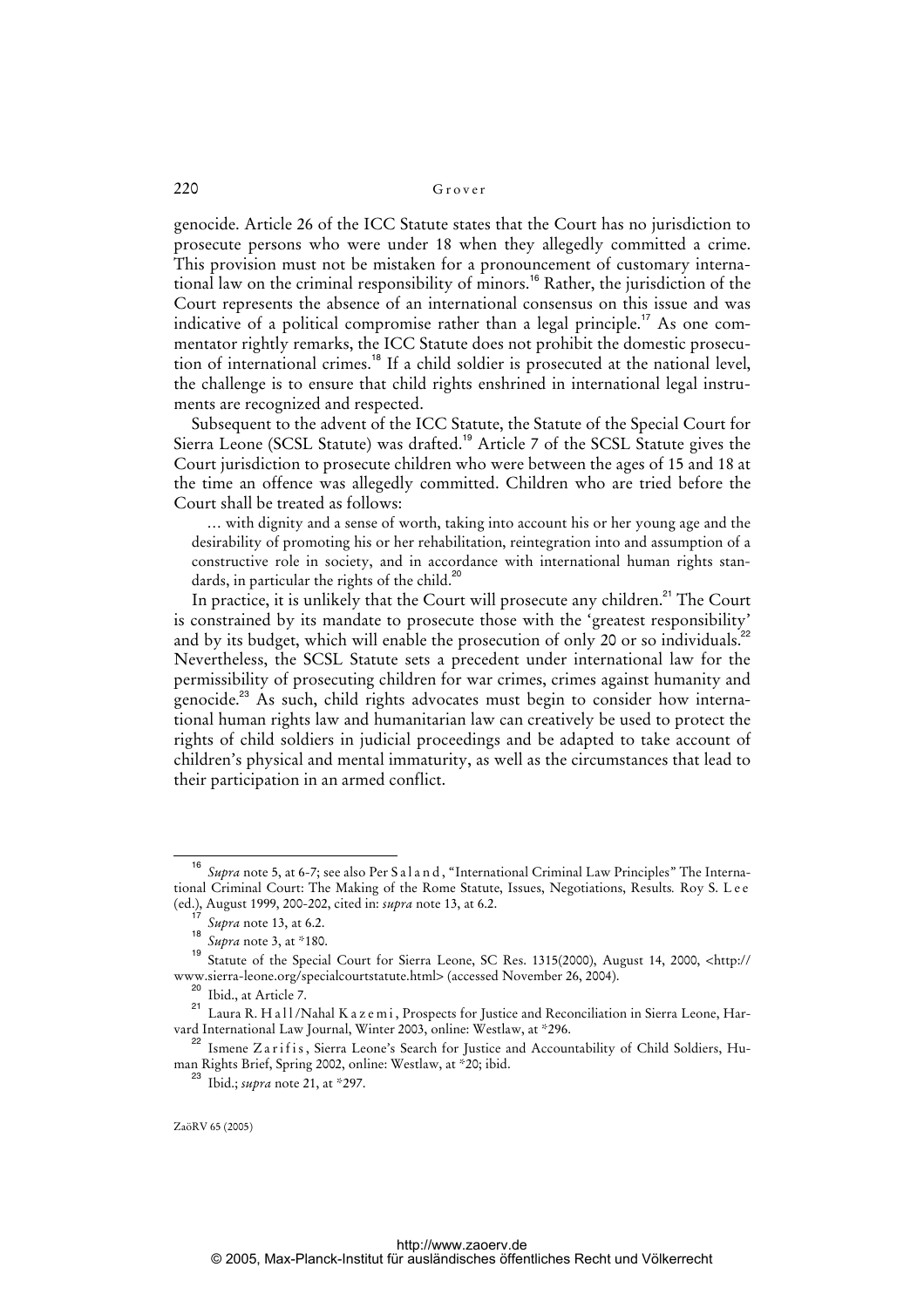genocide. Article 26 of the ICC Statute states that the Court has no jurisdiction to prosecute persons who were under 18 when they allegedly committed a crime. This provision must not be mistaken for a pronouncement of customary international law on the criminal responsibility of minors.<sup>16</sup> Rather, the jurisdiction of the Court represents the absence of an international consensus on this issue and was indicative of a political compromise rather than a legal principle.<sup>17</sup> As one commentator rightly remarks, the ICC Statute does not prohibit the domestic prosecution of international crimes.<sup>18</sup> If a child soldier is prosecuted at the national level, the challenge is to ensure that child rights enshrined in international legal instruments are recognized and respected.

Subsequent to the advent of the ICC Statute, the Statute of the Special Court for Sierra Leone (SCSL Statute) was drafted.<sup>19</sup> Article 7 of the SCSL Statute gives the Court jurisdiction to prosecute children who were between the ages of 15 and 18 at the time an offence was allegedly committed. Children who are tried before the Court shall be treated as follows:

… with dignity and a sense of worth, taking into account his or her young age and the desirability of promoting his or her rehabilitation, reintegration into and assumption of a constructive role in society, and in accordance with international human rights standards, in particular the rights of the child. $^{20}$ 

In practice, it is unlikely that the Court will prosecute any children.<sup>21</sup> The Court is constrained by its mandate to prosecute those with the 'greatest responsibility' and by its budget, which will enable the prosecution of only 20 or so individuals.<sup>22</sup> Nevertheless, the SCSL Statute sets a precedent under international law for the permissibility of prosecuting children for war crimes, crimes against humanity and genocide.<sup>23</sup> As such, child rights advocates must begin to consider how international human rights law and humanitarian law can creatively be used to protect the rights of child soldiers in judicial proceedings and be adapted to take account of children's physical and mental immaturity, as well as the circumstances that lead to their participation in an armed conflict.

<sup>16</sup> Supra note 5, at 6-7; see also Per S a l a n d, "International Criminal Law Principles" The International Criminal Court: The Making of the Rome Statute, Issues, Negotiations, Results*.* Roy S. L e e (ed.), August 1999, 200-202, cited in: *supra* note 13, at 6.2.

<sup>17</sup> *Supra* note 13, at 6.2.

<sup>18</sup> *Supra* note 3, at \*180.

<sup>19</sup> [Statute of the Special Court for Sierra Leone, SC Res. 1315\(2000\), August 14, 2000, <http://](http://www.sierra-leone.org/specialcourtstatute.html) www.sierra-leone.org/specialcourtstatute.html> (accessed November 26, 2004).

<sup>&</sup>lt;sup>20</sup> Ibid., at Article 7.

<sup>21</sup> Laura R. Ha l l /Nahal K a z e m i , Prospects for Justice and Reconciliation in Sierra Leone, Harvard International Law Journal, Winter 2003, online: Westlaw, at \*296.

<sup>&</sup>lt;sup>22</sup> Ismene Zarifis, Sierra Leone's Search for Justice and Accountability of Child Soldiers, Human Rights Brief, Spring 2002, online: Westlaw, at \*20; ibid.

<sup>23</sup> Ibid.; *supra* note 21, at \*297.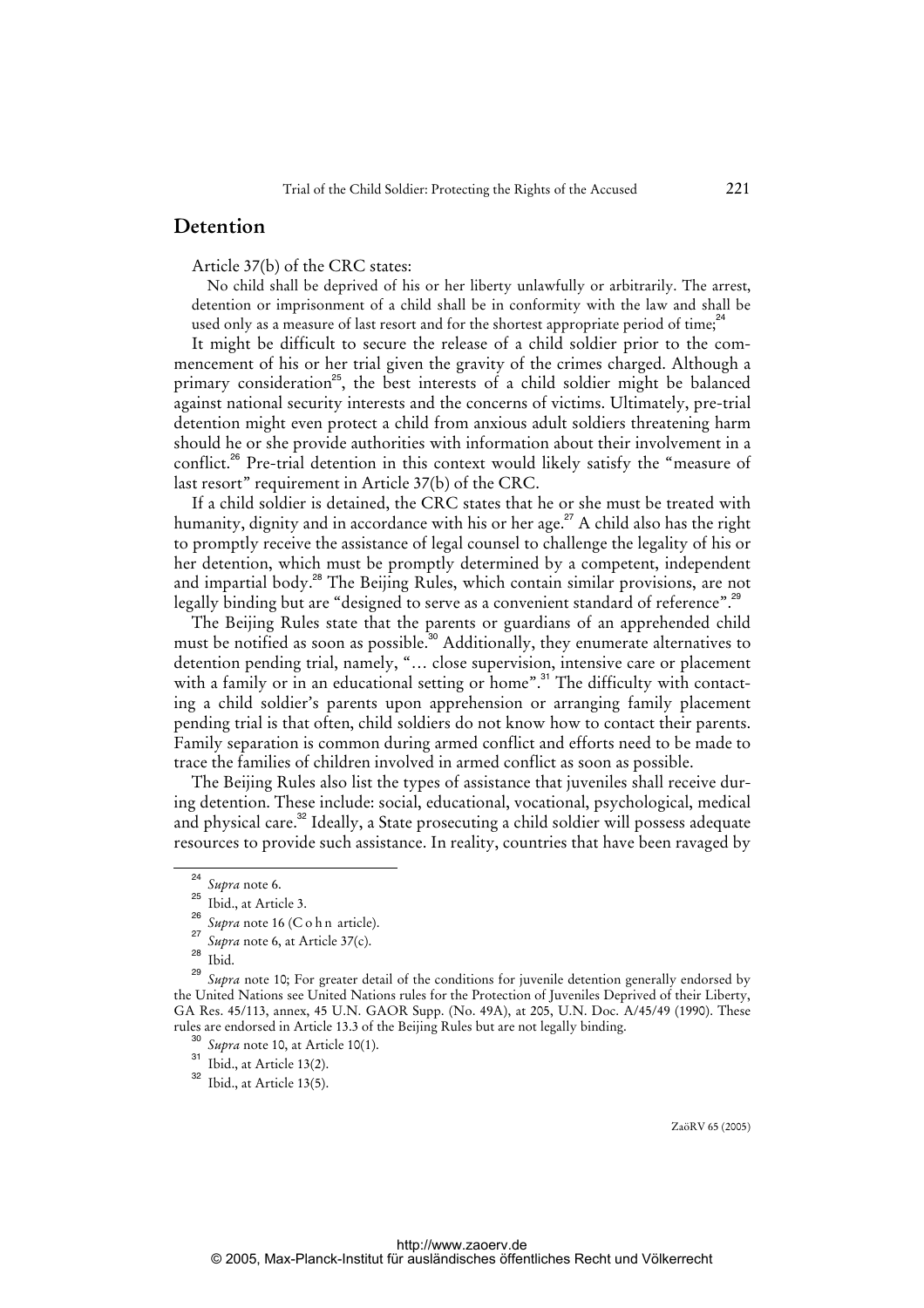### **Detention**

Article 37(b) of the CRC states:

No child shall be deprived of his or her liberty unlawfully or arbitrarily. The arrest, detention or imprisonment of a child shall be in conformity with the law and shall be used only as a measure of last resort and for the shortest appropriate period of time;<sup>24</sup>

It might be difficult to secure the release of a child soldier prior to the commencement of his or her trial given the gravity of the crimes charged. Although a primary consideration<sup>25</sup>, the best interests of a child soldier might be balanced against national security interests and the concerns of victims. Ultimately, pre-trial detention might even protect a child from anxious adult soldiers threatening harm should he or she provide authorities with information about their involvement in a conflict.<sup>26</sup> Pre-trial detention in this context would likely satisfy the "measure of last resort" requirement in Article 37(b) of the CRC.

If a child soldier is detained, the CRC states that he or she must be treated with humanity, dignity and in accordance with his or her age.<sup>27</sup> A child also has the right to promptly receive the assistance of legal counsel to challenge the legality of his or her detention, which must be promptly determined by a competent, independent and impartial body.<sup>28</sup> The Beijing Rules, which contain similar provisions, are not legally binding but are "designed to serve as a convenient standard of reference".<sup>29</sup>

The Beijing Rules state that the parents or guardians of an apprehended child must be notified as soon as possible.<sup>30</sup> Additionally, they enumerate alternatives to detention pending trial, namely, "… close supervision, intensive care or placement with a family or in an educational setting or home".<sup>31</sup> The difficulty with contacting a child soldier's parents upon apprehension or arranging family placement pending trial is that often, child soldiers do not know how to contact their parents. Family separation is common during armed conflict and efforts need to be made to trace the families of children involved in armed conflict as soon as possible.

The Beijing Rules also list the types of assistance that juveniles shall receive during detention. These include: social, educational, vocational, psychological, medical and physical care.<sup>32</sup> Ideally, a State prosecuting a child soldier will possess adequate resources to provide such assistance. In reality, countries that have been ravaged by

<sup>24</sup>  $\frac{^{24}}{^{25}}$  *Supra* note 6.

Ibid., at Article 3.

<sup>26</sup> *Supra* note 16 (C o h n article).

<sup>27</sup> *Supra* note 6, at Article 37(c).

<sup>28</sup> Ibid.

<sup>29</sup> *Supra* note 10; For greater detail of the conditions for juvenile detention generally endorsed by the United Nations see United Nations rules for the Protection of Juveniles Deprived of their Liberty, GA Res. 45/113, annex, 45 U.N. GAOR Supp. (No. 49A), at 205, U.N. Doc. A/45/49 (1990). These rules are endorsed in Article 13.3 of the Beijing Rules but are not legally binding.

<sup>30</sup> *Supra* note 10, at Article 10(1).

 $31$  Ibid., at Article 13(2).

 $32$  Ibid., at Article 13(5).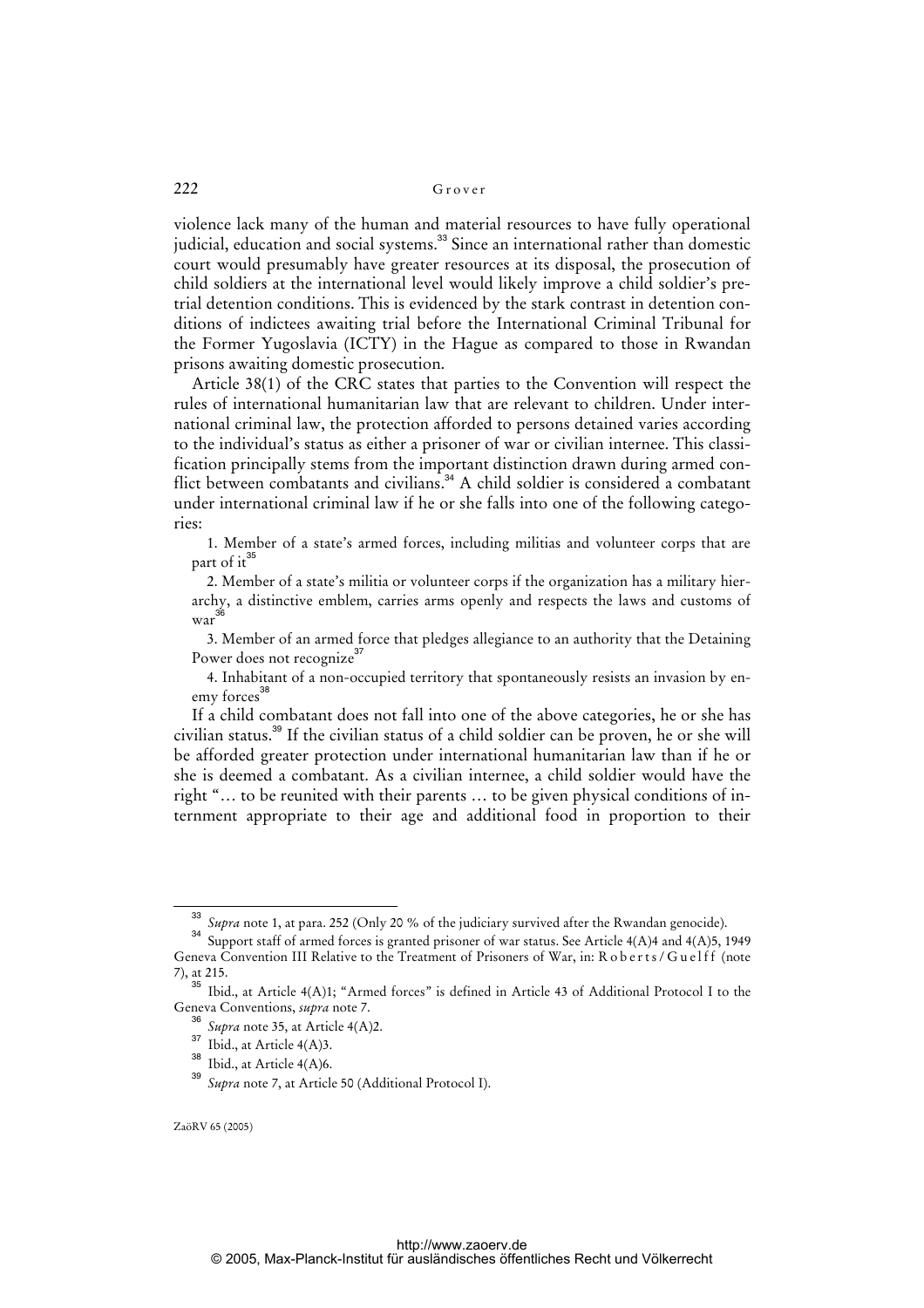violence lack many of the human and material resources to have fully operational judicial, education and social systems.<sup>33</sup> Since an international rather than domestic court would presumably have greater resources at its disposal, the prosecution of child soldiers at the international level would likely improve a child soldier's pretrial detention conditions. This is evidenced by the stark contrast in detention conditions of indictees awaiting trial before the International Criminal Tribunal for the Former Yugoslavia (ICTY) in the Hague as compared to those in Rwandan prisons awaiting domestic prosecution.

Article 38(1) of the CRC states that parties to the Convention will respect the rules of international humanitarian law that are relevant to children. Under international criminal law, the protection afforded to persons detained varies according to the individual's status as either a prisoner of war or civilian internee. This classification principally stems from the important distinction drawn during armed conflict between combatants and civilians.<sup>34</sup> A child soldier is considered a combatant under international criminal law if he or she falls into one of the following categories:

1. Member of a state's armed forces, including militias and volunteer corps that are part of  $it^{35}$ 

2. Member of a state's militia or volunteer corps if the organization has a military hierarchy, a distinctive emblem, carries arms openly and respects the laws and customs of war<sup>36</sup>

3. Member of an armed force that pledges allegiance to an authority that the Detaining Power does not recognize<sup>37</sup>

4. Inhabitant of a non-occupied territory that spontaneously resists an invasion by enemy forces<sup>38</sup>

If a child combatant does not fall into one of the above categories, he or she has civilian status.<sup>39</sup> If the civilian status of a child soldier can be proven, he or she will be afforded greater protection under international humanitarian law than if he or she is deemed a combatant. As a civilian internee, a child soldier would have the right "… to be reunited with their parents … to be given physical conditions of internment appropriate to their age and additional food in proportion to their

<sup>33</sup> *Supra* note 1, at para. 252 (Only 20 % of the judiciary survived after the Rwandan genocide).

<sup>34</sup> Support staff of armed forces is granted prisoner of war status. See Article 4(A)4 and 4(A)5, 1949 Geneva Convention III Relative to the Treatment of Prisoners of War, in: R o b e r t s / G u e l f f (note 7), at 215.

<sup>&</sup>lt;sup>35</sup> Ibid., at Article 4(A)1; "Armed forces" is defined in Article 43 of Additional Protocol I to the Geneva Conventions, *supra* note 7.

<sup>36</sup> *Supra* note 35, at Article 4(A)2.

 $37$  Ibid., at Article 4(A)3.

 $rac{38}{101 \text{th}}$  Ibid., at Article 4(A)6.

Supra note 7, at Article 50 (Additional Protocol I).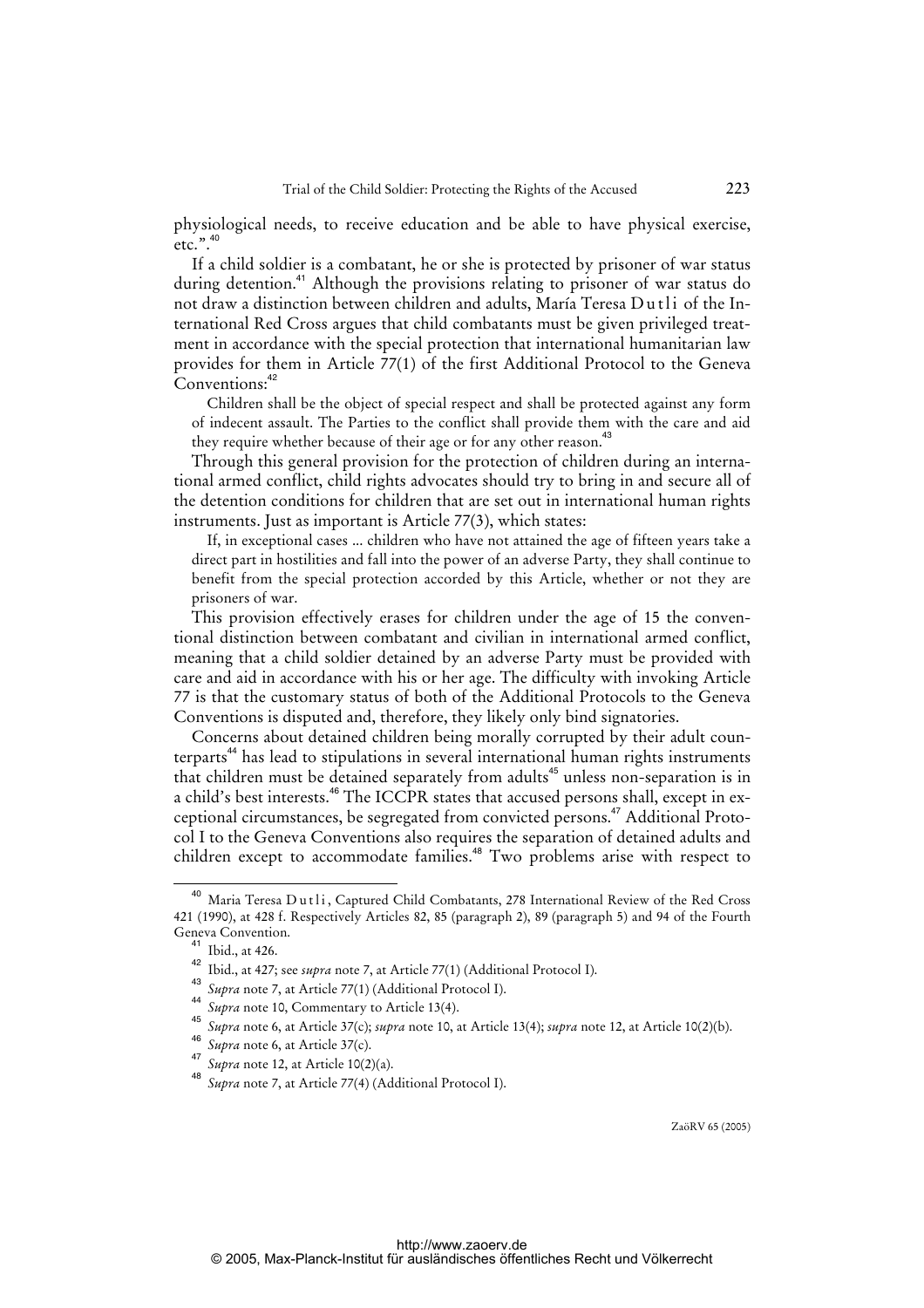physiological needs, to receive education and be able to have physical exercise,  $etc.$ ".

If a child soldier is a combatant, he or she is protected by prisoner of war status during detention.<sup>41</sup> Although the provisions relating to prisoner of war status do not draw a distinction between children and adults, María Teresa Dutli of the International Red Cross argues that child combatants must be given privileged treatment in accordance with the special protection that international humanitarian law provides for them in Article 77(1) of the first Additional Protocol to the Geneva Conventions:<sup>42</sup>

Children shall be the object of special respect and shall be protected against any form of indecent assault. The Parties to the conflict shall provide them with the care and aid they require whether because of their age or for any other reason.<sup>43</sup>

Through this general provision for the protection of children during an international armed conflict, child rights advocates should try to bring in and secure all of the detention conditions for children that are set out in international human rights instruments. Just as important is Article 77(3), which states:

If, in exceptional cases ... children who have not attained the age of fifteen years take a direct part in hostilities and fall into the power of an adverse Party, they shall continue to benefit from the special protection accorded by this Article, whether or not they are prisoners of war.

This provision effectively erases for children under the age of 15 the conventional distinction between combatant and civilian in international armed conflict, meaning that a child soldier detained by an adverse Party must be provided with care and aid in accordance with his or her age. The difficulty with invoking Article 77 is that the customary status of both of the Additional Protocols to the Geneva Conventions is disputed and, therefore, they likely only bind signatories.

Concerns about detained children being morally corrupted by their adult counterparts<sup>44</sup> has lead to stipulations in several international human rights instruments that children must be detained separately from adults<sup>45</sup> unless non-separation is in a child's best interests.<sup>46</sup> The ICCPR states that accused persons shall, except in exceptional circumstances, be segregated from convicted persons.<sup>47</sup> Additional Protocol I to the Geneva Conventions also requires the separation of detained adults and children except to accommodate families.<sup>48</sup> Two problems arise with respect to

<sup>&</sup>lt;sup>40</sup> Maria Teresa Dutli, Captured Child Combatants, 278 International Review of the Red Cross 421 (1990), at 428 f. Respectively Articles 82, 85 (paragraph 2), 89 (paragraph 5) and 94 of the Fourth Geneva Convention.

<sup>&</sup>lt;sup>41</sup> Ibid., at 426.

<sup>42</sup> Ibid., at 427; see *supra* note 7, at Article 77(1) (Additional Protocol I). 43

*Supra* note 7, at Article 77(1) (Additional Protocol I). 44

*Supra* note 10, Commentary to Article 13(4).

<sup>45</sup> *Supra* note 6, at Article 37(c); *supra* note 10, at Article 13(4); *supra* note 12, at Article 10(2)(b).

<sup>46</sup> *Supra* note 6, at Article 37(c).

<sup>47</sup> <sup>47</sup> *Supra* note 12, at Article 10(2)(a).

Supra note 7, at Article 77(4) (Additional Protocol I).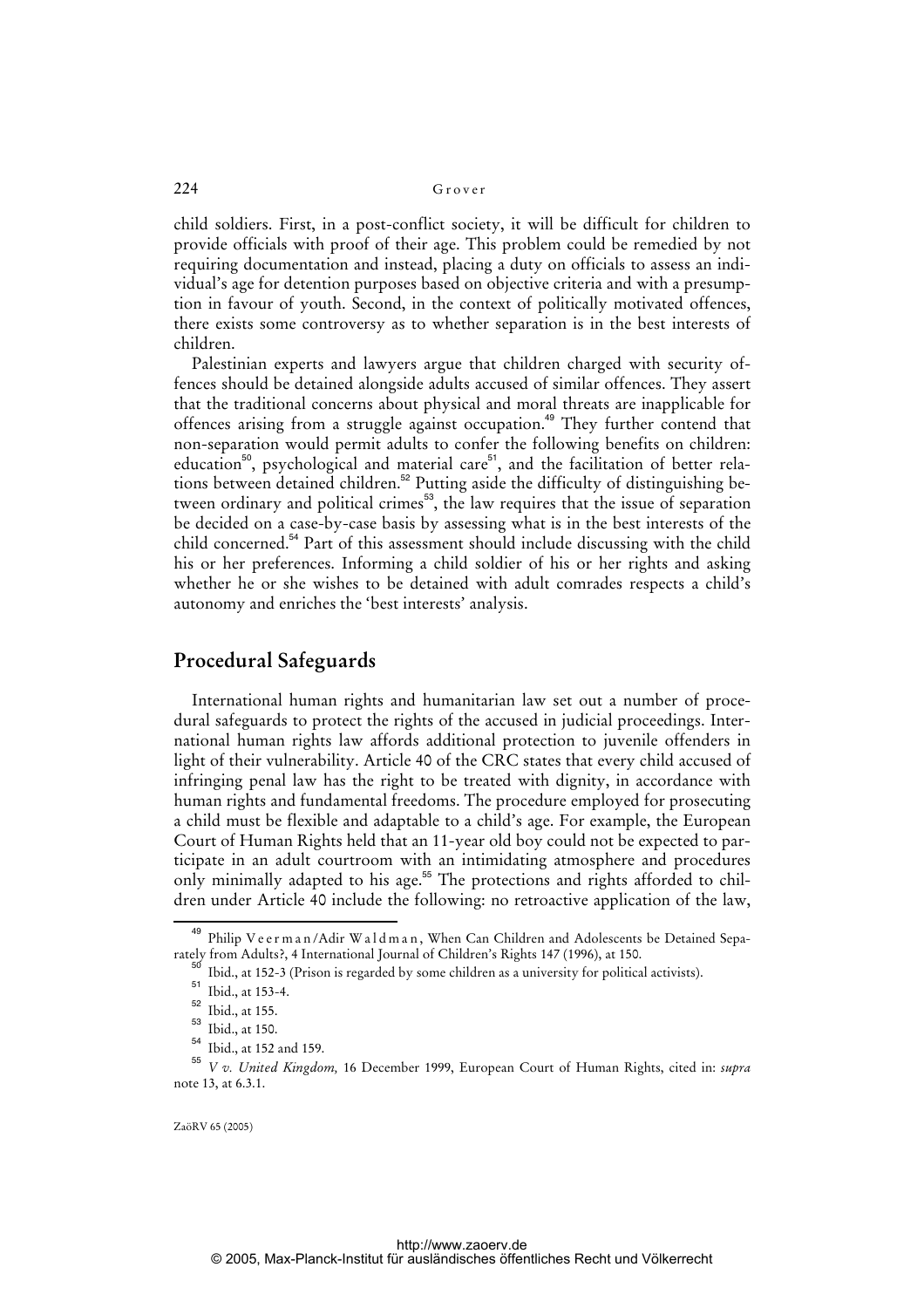child soldiers. First, in a post-conflict society, it will be difficult for children to provide officials with proof of their age. This problem could be remedied by not requiring documentation and instead, placing a duty on officials to assess an individual's age for detention purposes based on objective criteria and with a presumption in favour of youth. Second, in the context of politically motivated offences, there exists some controversy as to whether separation is in the best interests of children.

Palestinian experts and lawyers argue that children charged with security offences should be detained alongside adults accused of similar offences. They assert that the traditional concerns about physical and moral threats are inapplicable for offences arising from a struggle against occupation.<sup>49</sup> They further contend that non-separation would permit adults to confer the following benefits on children: education<sup>50</sup>, psychological and material care<sup>51</sup>, and the facilitation of better relations between detained children.<sup>52</sup> Putting aside the difficulty of distinguishing between ordinary and political crimes<sup>53</sup>, the law requires that the issue of separation be decided on a case-by-case basis by assessing what is in the best interests of the child concerned.<sup>54</sup> Part of this assessment should include discussing with the child his or her preferences. Informing a child soldier of his or her rights and asking whether he or she wishes to be detained with adult comrades respects a child's autonomy and enriches the 'best interests' analysis.

## **Procedural Safeguards**

International human rights and humanitarian law set out a number of procedural safeguards to protect the rights of the accused in judicial proceedings. International human rights law affords additional protection to juvenile offenders in light of their vulnerability. Article 40 of the CRC states that every child accused of infringing penal law has the right to be treated with dignity, in accordance with human rights and fundamental freedoms. The procedure employed for prosecuting a child must be flexible and adaptable to a child's age. For example, the European Court of Human Rights held that an 11-year old boy could not be expected to participate in an adult courtroom with an intimidating atmosphere and procedures only minimally adapted to his age.<sup>55</sup> The protections and rights afforded to children under Article 40 include the following: no retroactive application of the law,

<sup>&</sup>lt;sup>49</sup> Philip V e e r m a n / Adir W a l d m a n, When Can Children and Adolescents be Detained Separately from Adults?, 4 International Journal of Children's Rights 147 (1996), at 150.

Ibid., at 152-3 (Prison is regarded by some children as a university for political activists).

<sup>&</sup>lt;sup>51</sup> Ibid., at 153-4.

 $52$  Ibid., at 155.

<sup>53</sup> Ibid., at 150.

<sup>54</sup> Ibid., at 152 and 159.

<sup>55</sup> *V v. United Kingdom,* 16 December 1999, European Court of Human Rights, cited in: *supra*  note 13, at 6.3.1.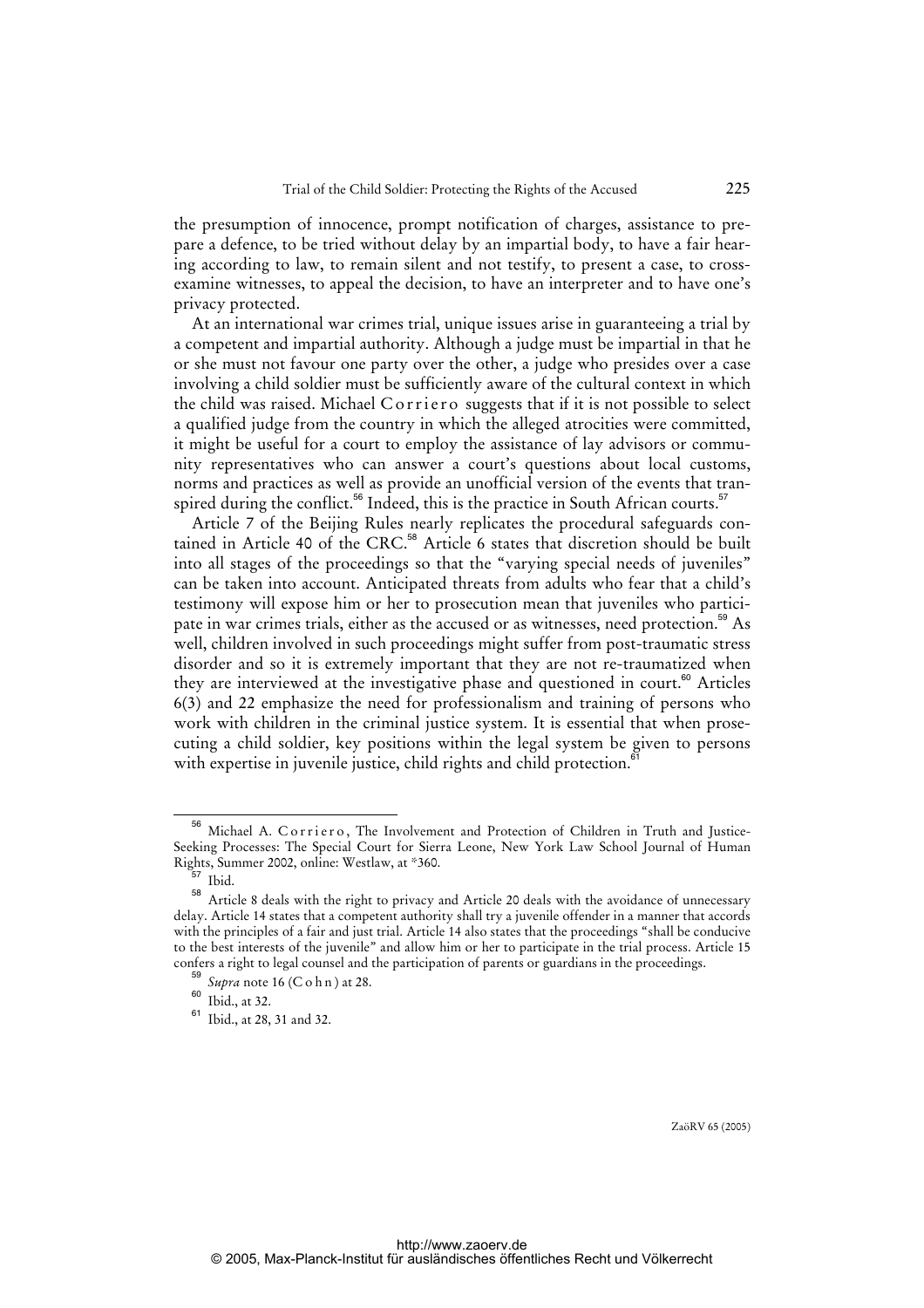the presumption of innocence, prompt notification of charges, assistance to prepare a defence, to be tried without delay by an impartial body, to have a fair hearing according to law, to remain silent and not testify, to present a case, to crossexamine witnesses, to appeal the decision, to have an interpreter and to have one's privacy protected.

At an international war crimes trial, unique issues arise in guaranteeing a trial by a competent and impartial authority. Although a judge must be impartial in that he or she must not favour one party over the other, a judge who presides over a case involving a child soldier must be sufficiently aware of the cultural context in which the child was raised. Michael Corriero suggests that if it is not possible to select a qualified judge from the country in which the alleged atrocities were committed, it might be useful for a court to employ the assistance of lay advisors or community representatives who can answer a court's questions about local customs, norms and practices as well as provide an unofficial version of the events that transpired during the conflict.<sup>56</sup> Indeed, this is the practice in South African courts.<sup>57</sup>

Article 7 of the Beijing Rules nearly replicates the procedural safeguards contained in Article 40 of the CRC.<sup>58</sup> Article 6 states that discretion should be built into all stages of the proceedings so that the "varying special needs of juveniles" can be taken into account. Anticipated threats from adults who fear that a child's testimony will expose him or her to prosecution mean that juveniles who participate in war crimes trials, either as the accused or as witnesses, need protection.<sup>59</sup> As well, children involved in such proceedings might suffer from post-traumatic stress disorder and so it is extremely important that they are not re-traumatized when they are interviewed at the investigative phase and questioned in court.<sup>60</sup> Articles 6(3) and 22 emphasize the need for professionalism and training of persons who work with children in the criminal justice system. It is essential that when prosecuting a child soldier, key positions within the legal system be given to persons with expertise in juvenile justice, child rights and child protection.<sup>6</sup>

<sup>&</sup>lt;sup>56</sup> Michael A. Corriero, The Involvement and Protection of Children in Truth and Justice-Seeking Processes: The Special Court for Sierra Leone, New York Law School Journal of Human Rights, Summer 2002, online: Westlaw, at \*360.

 $357$  Ibid.

<sup>58</sup> Article 8 deals with the right to privacy and Article 20 deals with the avoidance of unnecessary delay. Article 14 states that a competent authority shall try a juvenile offender in a manner that accords with the principles of a fair and just trial. Article 14 also states that the proceedings "shall be conducive to the best interests of the juvenile" and allow him or her to participate in the trial process. Article 15 confers a right to legal counsel and the participation of parents or guardians in the proceedings.

<sup>59</sup> *Supra* note 16 (C o h n ) at 28.

 $60$  Ibid., at 32.

<sup>61</sup> Ibid., at 28, 31 and 32.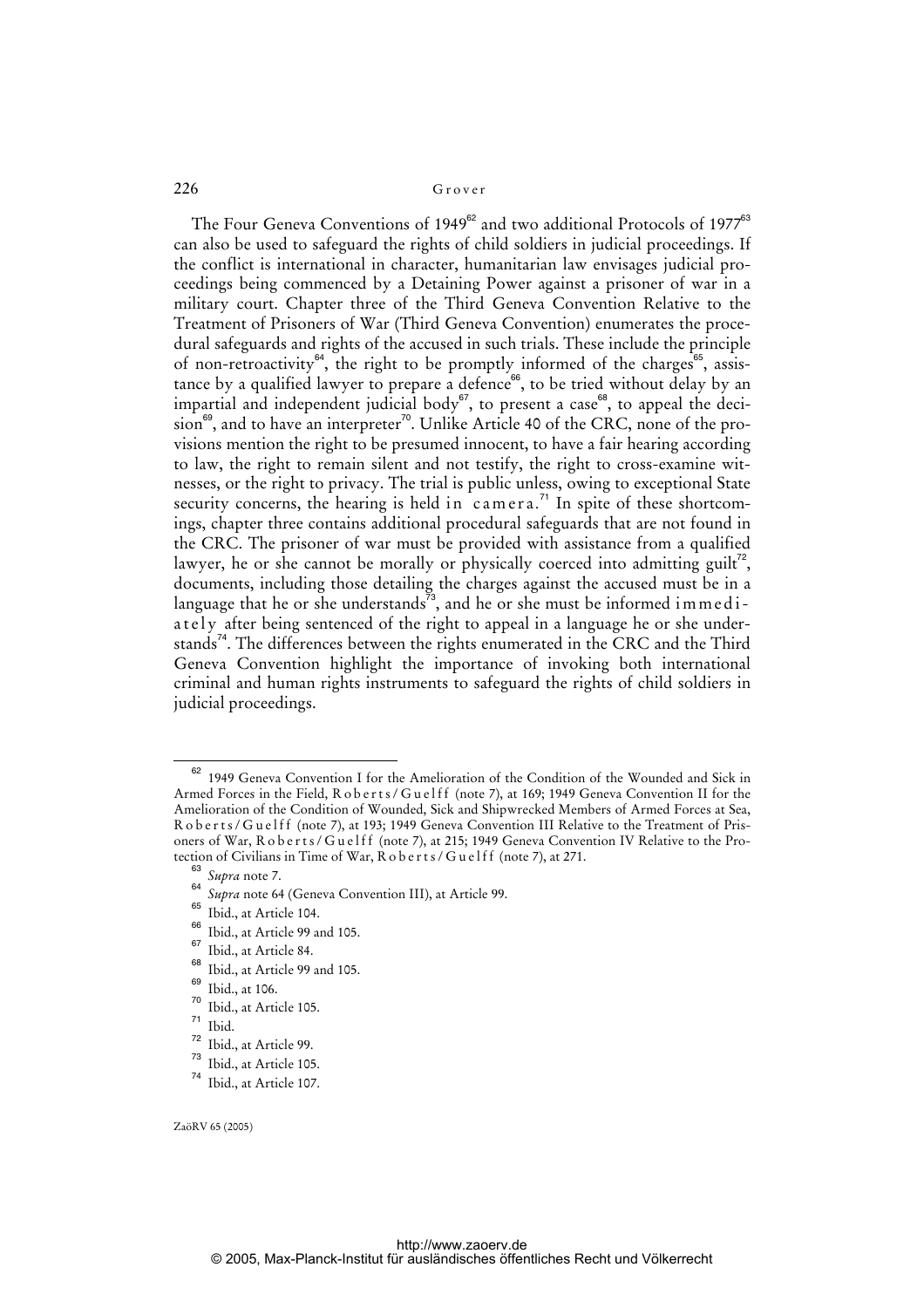The Four Geneva Conventions of 1949<sup>62</sup> and two additional Protocols of 1977<sup>63</sup> can also be used to safeguard the rights of child soldiers in judicial proceedings. If the conflict is international in character, humanitarian law envisages judicial proceedings being commenced by a Detaining Power against a prisoner of war in a military court. Chapter three of the Third Geneva Convention Relative to the Treatment of Prisoners of War (Third Geneva Convention) enumerates the procedural safeguards and rights of the accused in such trials. These include the principle of non-retroactivity<sup>64</sup>, the right to be promptly informed of the charges<sup>65</sup>, assistance by a qualified lawyer to prepare a defence<sup>66</sup>, to be tried without delay by an impartial and independent judicial body $67$ , to present a case $68$ , to appeal the deci $sion^{69}$ , and to have an interpreter<sup>70</sup>. Unlike Article 40 of the CRC, none of the provisions mention the right to be presumed innocent, to have a fair hearing according to law, the right to remain silent and not testify, the right to cross-examine witnesses, or the right to privacy. The trial is public unless, owing to exceptional State security concerns, the hearing is held in  $camera.^{71}$  In spite of these shortcomings, chapter three contains additional procedural safeguards that are not found in the CRC. The prisoner of war must be provided with assistance from a qualified lawyer, he or she cannot be morally or physically coerced into admitting guilt<sup>72</sup>, documents, including those detailing the charges against the accused must be in a language that he or she understands<sup> $\bar{7}3$ </sup>, and he or she must be informed immed iately after being sentenced of the right to appeal in a language he or she understands<sup>74</sup>. The differences between the rights enumerated in the CRC and the Third Geneva Convention highlight the importance of invoking both international criminal and human rights instruments to safeguard the rights of child soldiers in judicial proceedings.

<sup>1949</sup> Geneva Convention I for the Amelioration of the Condition of the Wounded and Sick in Armed Forces in the Field, R o b e rts / G u e l f f (note 7), at 169; 1949 Geneva Convention II for the Amelioration of the Condition of Wounded, Sick and Shipwrecked Members of Armed Forces at Sea, R o b e r t s / G u e l f f (note 7), at 193; 1949 Geneva Convention III Relative to the Treatment of Prisoners of War, R o b e r t s / G u e l f (note 7), at 215; 1949 Geneva Convention IV Relative to the Protection of Civilians in Time of War, R o b e r t s / G u e l f f (note 7), at 271.

<sup>63</sup> *Supra* note 7.

<sup>64</sup> *Supra* note 64 (Geneva Convention III), at Article 99.

 $^{65}$  Ibid., at Article 104.

 $^{66}$  Ibid., at Article 99 and 105.

 $^{67}$  Ibid., at Article 84.

 $^{68}$  Ibid., at Article 99 and 105.

 $\frac{69}{70}$  Ibid., at 106.

 $\frac{70}{71}$  Ibid., at Article 105.

 $\frac{71}{72}$  Ibid.

 $\frac{72}{73}$  Ibid., at Article 99.

 $^{73}$  Ibid., at Article 105.

Ibid., at Article 107.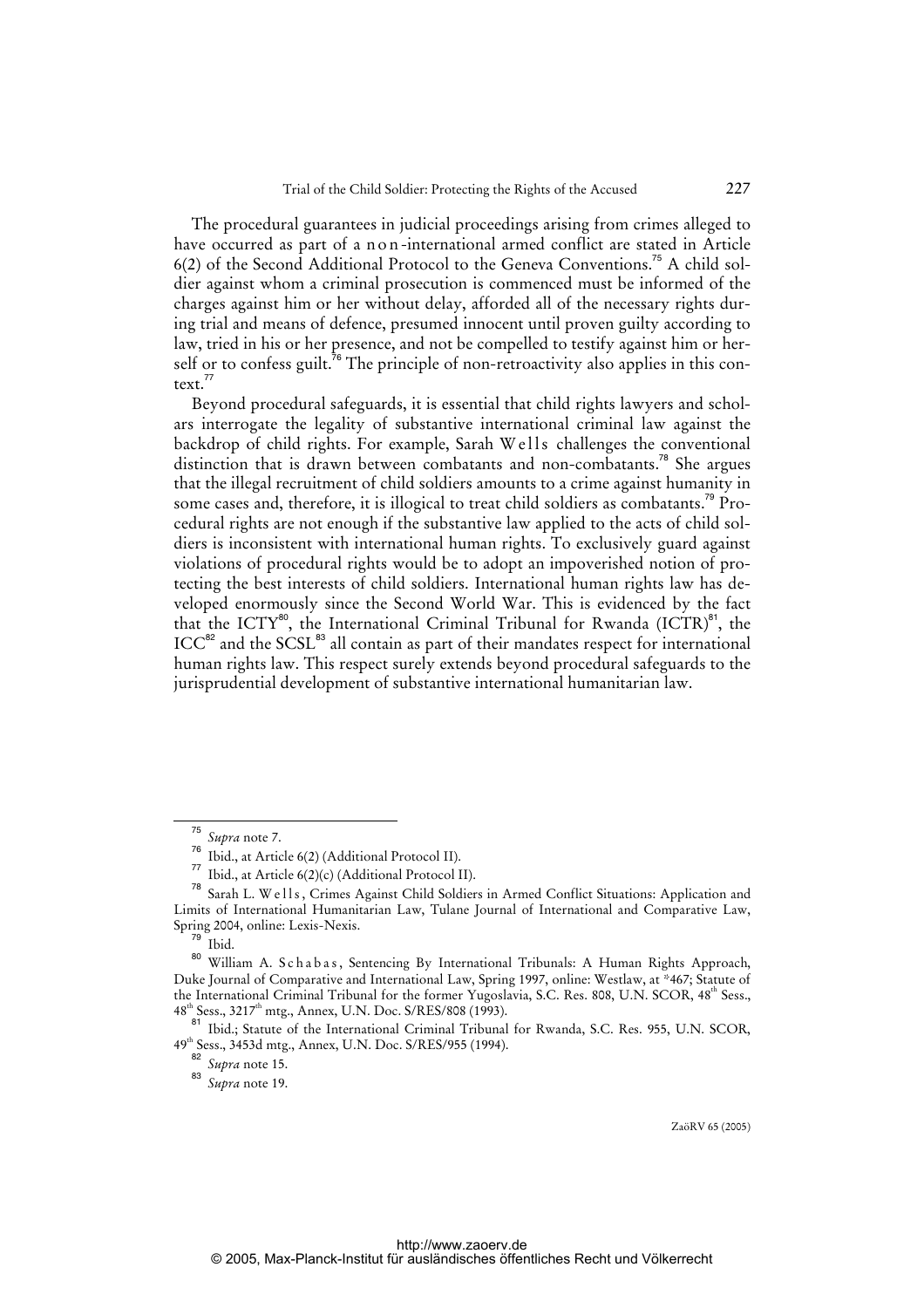The procedural guarantees in judicial proceedings arising from crimes alleged to have occurred as part of a n on-international armed conflict are stated in Article 6(2) of the Second Additional Protocol to the Geneva Conventions.<sup>75</sup> A child soldier against whom a criminal prosecution is commenced must be informed of the charges against him or her without delay, afforded all of the necessary rights during trial and means of defence, presumed innocent until proven guilty according to law, tried in his or her presence, and not be compelled to testify against him or herself or to confess guilt.<sup>76</sup> The principle of non-retroactivity also applies in this context.<sup>77</sup>

Beyond procedural safeguards, it is essential that child rights lawyers and scholars interrogate the legality of substantive international criminal law against the backdrop of child rights. For example, Sarah Wells challenges the conventional distinction that is drawn between combatants and non-combatants.<sup>78</sup> She argues that the illegal recruitment of child soldiers amounts to a crime against humanity in some cases and, therefore, it is illogical to treat child soldiers as combatants.<sup>79</sup> Procedural rights are not enough if the substantive law applied to the acts of child soldiers is inconsistent with international human rights. To exclusively guard against violations of procedural rights would be to adopt an impoverished notion of protecting the best interests of child soldiers. International human rights law has developed enormously since the Second World War. This is evidenced by the fact that the ICTY<sup>80</sup>, the International Criminal Tribunal for Rwanda (ICTR)<sup>81</sup>, the ICC<sup>82</sup> and the SCSL<sup>83</sup> all contain as part of their mandates respect for international human rights law. This respect surely extends beyond procedural safeguards to the jurisprudential development of substantive international humanitarian law.

<sup>75</sup> *Supra* note 7.

 $\frac{76}{77}$  Ibid., at Article 6(2) (Additional Protocol II).

Ibid., at Article 6(2)(c) (Additional Protocol II).

Sarah L. W e l l s, Crimes Against Child Soldiers in Armed Conflict Situations: Application and Limits of International Humanitarian Law, Tulane Journal of International and Comparative Law, Spring 2004, online: Lexis-Nexis.

Ibid.

<sup>&</sup>lt;sup>80</sup> William A. Schabas, Sentencing By International Tribunals: A Human Rights Approach, Duke Journal of Comparative and International Law, Spring 1997, online: Westlaw, at \*467; Statute of the International Criminal Tribunal for the former Yugoslavia, S.C. Res. 808, U.N. SCOR, 48<sup>th</sup> Sess.,  $48<sup>th</sup> Sess., 3217<sup>th</sup> mtg., Annex, U.N. Doc. S/RES/808 (1993).$ <sup>81</sup>

<sup>81</sup> Ibid.; Statute of the International Criminal Tribunal for Rwanda, S.C. Res. 955, U.N. SCOR, 49th Sess., 3453d mtg., Annex, U.N. Doc. S/RES/955 (1994).

<sup>82</sup> *Supra* note 15.

<sup>83</sup> *Supra* note 19.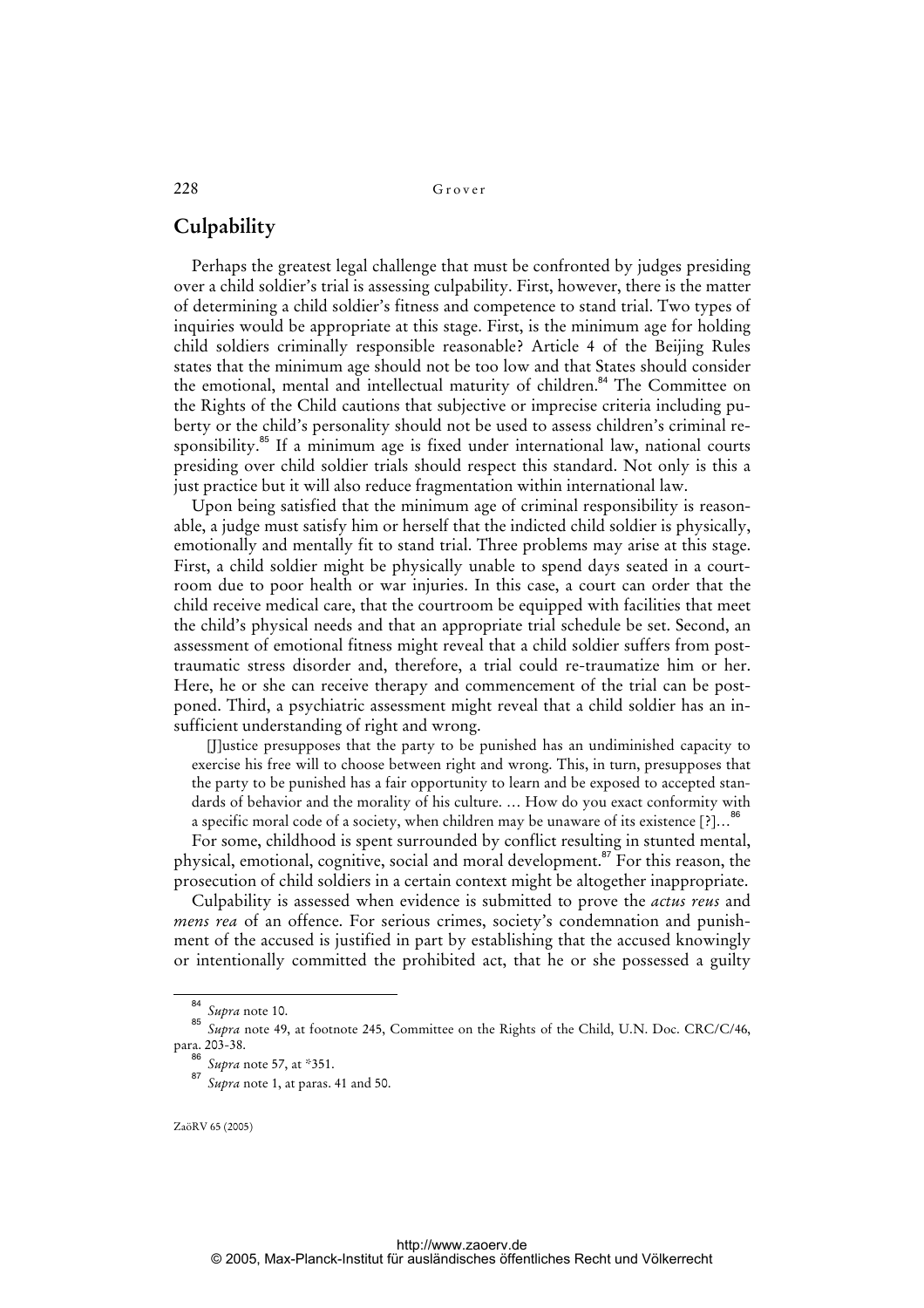## **Culpability**

Perhaps the greatest legal challenge that must be confronted by judges presiding over a child soldier's trial is assessing culpability. First, however, there is the matter of determining a child soldier's fitness and competence to stand trial. Two types of inquiries would be appropriate at this stage. First, is the minimum age for holding child soldiers criminally responsible reasonable? Article 4 of the Beijing Rules states that the minimum age should not be too low and that States should consider the emotional, mental and intellectual maturity of children.<sup>84</sup> The Committee on the Rights of the Child cautions that subjective or imprecise criteria including puberty or the child's personality should not be used to assess children's criminal responsibility.<sup>85</sup> If a minimum age is fixed under international law, national courts presiding over child soldier trials should respect this standard. Not only is this a just practice but it will also reduce fragmentation within international law.

Upon being satisfied that the minimum age of criminal responsibility is reasonable, a judge must satisfy him or herself that the indicted child soldier is physically, emotionally and mentally fit to stand trial. Three problems may arise at this stage. First, a child soldier might be physically unable to spend days seated in a courtroom due to poor health or war injuries. In this case, a court can order that the child receive medical care, that the courtroom be equipped with facilities that meet the child's physical needs and that an appropriate trial schedule be set. Second, an assessment of emotional fitness might reveal that a child soldier suffers from posttraumatic stress disorder and, therefore, a trial could re-traumatize him or her. Here, he or she can receive therapy and commencement of the trial can be postponed. Third, a psychiatric assessment might reveal that a child soldier has an insufficient understanding of right and wrong.

[J]ustice presupposes that the party to be punished has an undiminished capacity to exercise his free will to choose between right and wrong. This, in turn, presupposes that the party to be punished has a fair opportunity to learn and be exposed to accepted standards of behavior and the morality of his culture. … How do you exact conformity with a specific moral code of a society, when children may be unaware of its existence [?]…<sup>86</sup>

For some, childhood is spent surrounded by conflict resulting in stunted mental, physical, emotional, cognitive, social and moral development.<sup>87</sup> For this reason, the prosecution of child soldiers in a certain context might be altogether inappropriate.

Culpability is assessed when evidence is submitted to prove the *actus reus* and *mens rea* of an offence. For serious crimes, society's condemnation and punishment of the accused is justified in part by establishing that the accused knowingly or intentionally committed the prohibited act, that he or she possessed a guilty

<sup>84</sup> *Supra* note 10.

<sup>85</sup> *Supra* note 49, at footnote 245, Committee on the Rights of the Child, U.N. Doc. CRC/C/46, para. 203-38.

<sup>86</sup> *Supra* note 57, at \*351.

<sup>87</sup> *Supra* note 1, at paras. 41 and 50.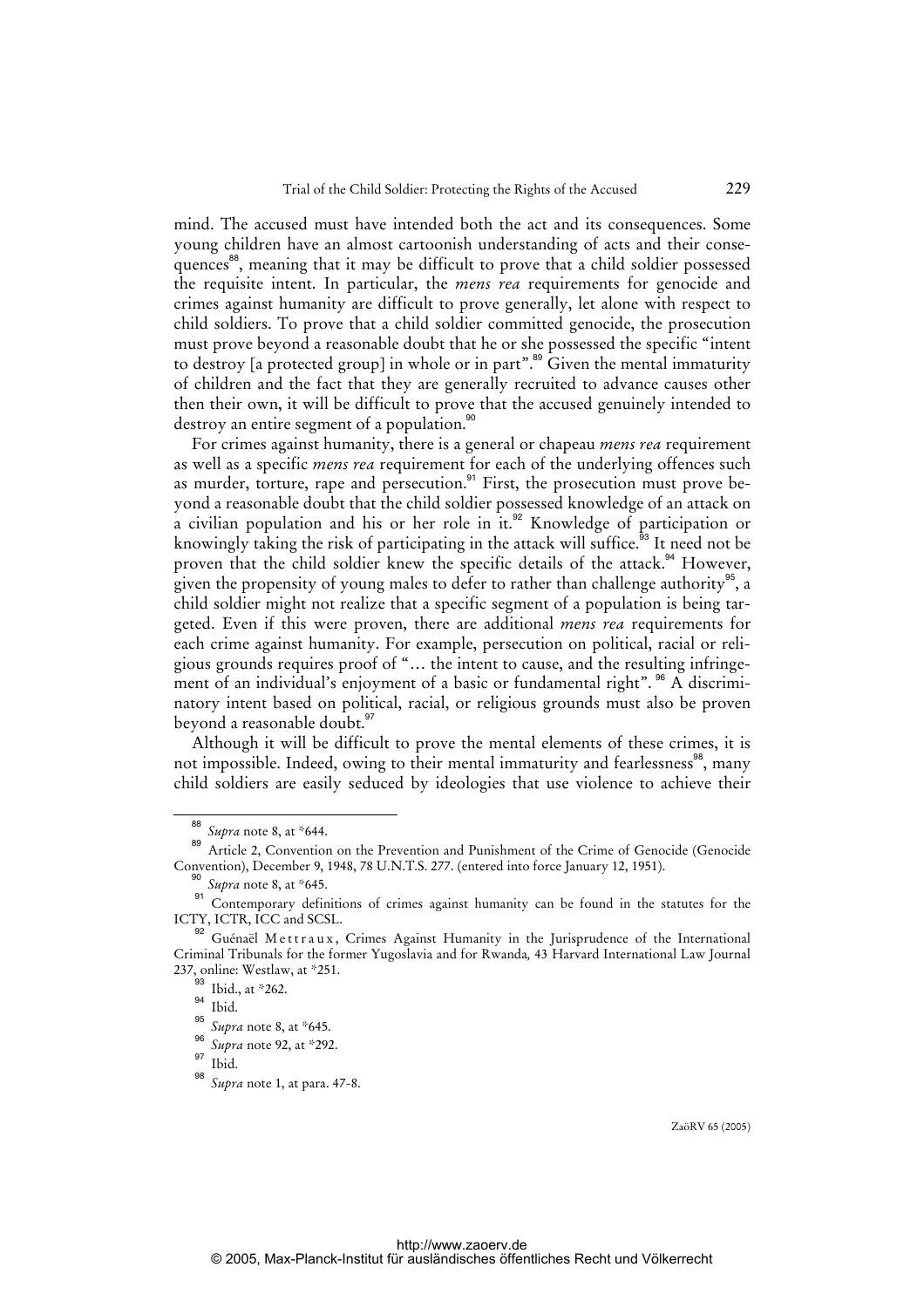mind. The accused must have intended both the act and its consequences. Some young children have an almost cartoonish understanding of acts and their consequences<sup>88</sup>, meaning that it may be difficult to prove that a child soldier possessed the requisite intent. In particular, the *mens rea* requirements for genocide and crimes against humanity are difficult to prove generally, let alone with respect to child soldiers. To prove that a child soldier committed genocide, the prosecution must prove beyond a reasonable doubt that he or she possessed the specific "intent to destroy [a protected group] in whole or in part".<sup>89</sup> Given the mental immaturity of children and the fact that they are generally recruited to advance causes other then their own, it will be difficult to prove that the accused genuinely intended to destroy an entire segment of a population.<sup>90</sup>

For crimes against humanity, there is a general or chapeau *mens rea* requirement as well as a specific *mens rea* requirement for each of the underlying offences such as murder, torture, rape and persecution.<sup>91</sup> First, the prosecution must prove beyond a reasonable doubt that the child soldier possessed knowledge of an attack on a civilian population and his or her role in it.<sup>92</sup> Knowledge of participation or knowingly taking the risk of participating in the attack will suffice.<sup> $\hat{9}$ 3</sup> It need not be proven that the child soldier knew the specific details of the attack.<sup>94</sup> However, given the propensity of young males to defer to rather than challenge authority $\overset{\text{95}}{ }$ , a child soldier might not realize that a specific segment of a population is being targeted. Even if this were proven, there are additional *mens rea* requirements for each crime against humanity. For example, persecution on political, racial or religious grounds requires proof of "… the intent to cause, and the resulting infringement of an individual's enjoyment of a basic or fundamental right". <sup>96</sup> A discriminatory intent based on political, racial, or religious grounds must also be proven beyond a reasonable doubt.<sup>97</sup>

Although it will be difficult to prove the mental elements of these crimes, it is not impossible. Indeed, owing to their mental immaturity and fearlessness<sup>98</sup>, many child soldiers are easily seduced by ideologies that use violence to achieve their

<sup>88</sup> *Supra* note 8, at \*644.

<sup>89</sup> Article 2, Convention on the Prevention and Punishment of the Crime of Genocide (Genocide Convention), December 9, 1948, 78 U.N.T.S. 277. (entered into force January 12, 1951).

<sup>90</sup> *Supra* note 8, at \*645.

Contemporary definitions of crimes against humanity can be found in the statutes for the ICTY, ICTR, ICC and SCSL.

<sup>&</sup>lt;sup>92</sup> Guénaël Mettraux, Crimes Against Humanity in the Jurisprudence of the International Criminal Tribunals for the former Yugoslavia and for Rwanda*,* 43 Harvard International Law Journal 237, online: Westlaw, at \*251.

 $\frac{93}{94}$  Ibid., at \*262.

Ibid.

<sup>95</sup> *Supra* note 8, at \*645.

<sup>96</sup> <sup>96</sup> Supra note 92, at \*292.

Ibid.

Supra note 1, at para. 47-8.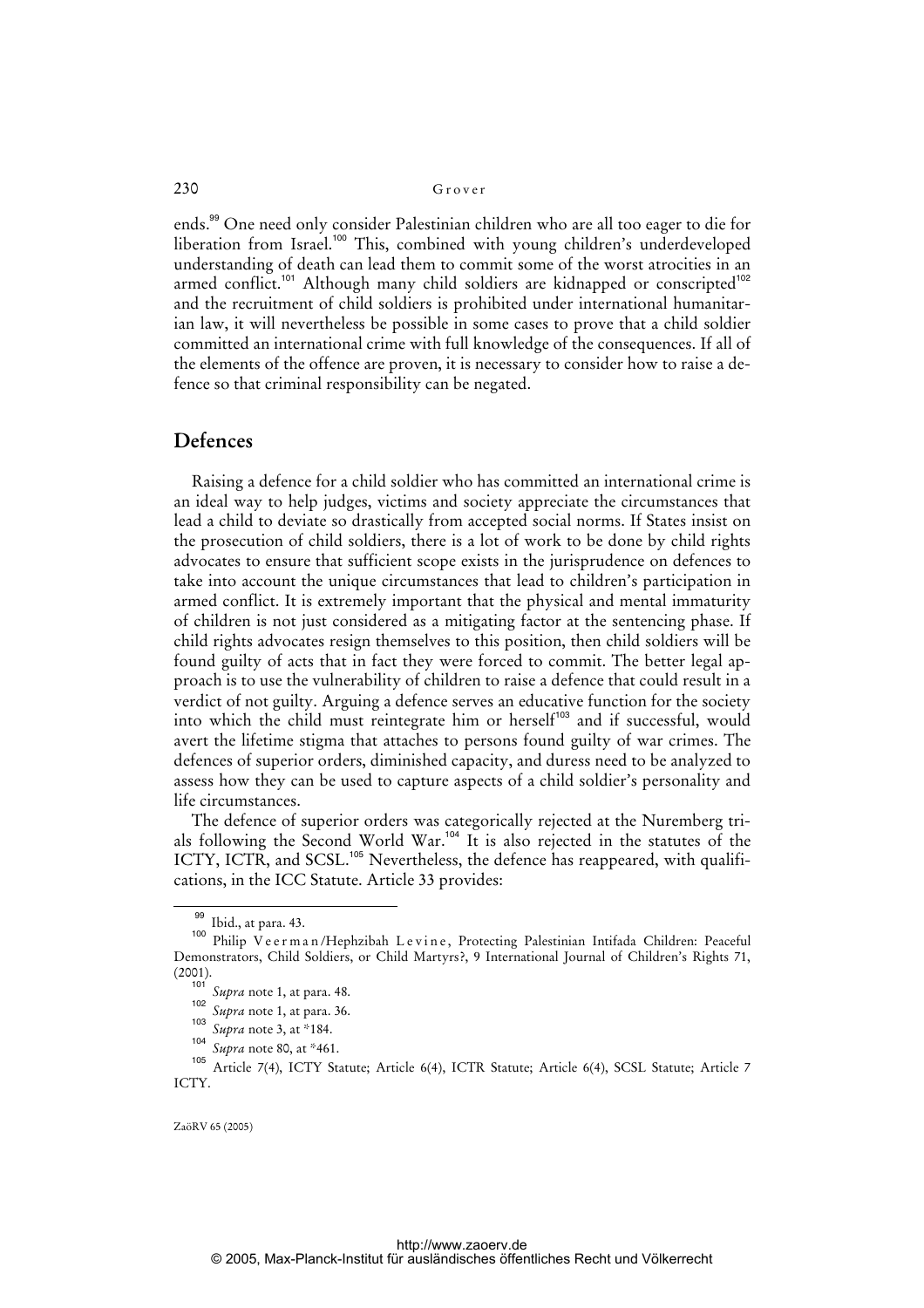ends.<sup>99</sup> One need only consider Palestinian children who are all too eager to die for liberation from Israel.<sup>100</sup> This, combined with young children's underdeveloped understanding of death can lead them to commit some of the worst atrocities in an armed conflict.<sup>101</sup> Although many child soldiers are kidnapped or conscripted<sup>102</sup> and the recruitment of child soldiers is prohibited under international humanitarian law, it will nevertheless be possible in some cases to prove that a child soldier committed an international crime with full knowledge of the consequences. If all of the elements of the offence are proven, it is necessary to consider how to raise a defence so that criminal responsibility can be negated.

#### **Defences**

Raising a defence for a child soldier who has committed an international crime is an ideal way to help judges, victims and society appreciate the circumstances that lead a child to deviate so drastically from accepted social norms. If States insist on the prosecution of child soldiers, there is a lot of work to be done by child rights advocates to ensure that sufficient scope exists in the jurisprudence on defences to take into account the unique circumstances that lead to children's participation in armed conflict. It is extremely important that the physical and mental immaturity of children is not just considered as a mitigating factor at the sentencing phase. If child rights advocates resign themselves to this position, then child soldiers will be found guilty of acts that in fact they were forced to commit. The better legal approach is to use the vulnerability of children to raise a defence that could result in a verdict of not guilty. Arguing a defence serves an educative function for the society into which the child must reintegrate him or herself<sup>103</sup> and if successful, would avert the lifetime stigma that attaches to persons found guilty of war crimes. The defences of superior orders, diminished capacity, and duress need to be analyzed to assess how they can be used to capture aspects of a child soldier's personality and life circumstances.

The defence of superior orders was categorically rejected at the Nuremberg trials following the Second World War.<sup>104</sup> It is also rejected in the statutes of the ICTY, ICTR, and SCSL.<sup>105</sup> Nevertheless, the defence has reappeared, with qualifications, in the ICC Statute. Article 33 provides:

<sup>&</sup>lt;sup>99</sup> Ibid., at para. 43.

<sup>100</sup> Philip V e e r m a n / Hephzibah L e v i n e, Protecting Palestinian Intifada Children: Peaceful Demonstrators, Child Soldiers, or Child Martyrs?, 9 International Journal of Children's Rights 71, (2001).

<sup>101</sup> *Supra* note 1, at para. 48. 102

*Supra* note 1, at para. 36. 103

*Supra* note 3, at \*184.

<sup>104</sup> <sup>104</sup> Supra note 80, at \*461.

<sup>105</sup> Article 7(4), ICTY Statute; Article 6(4), ICTR Statute; Article 6(4), SCSL Statute; Article 7 ICTY.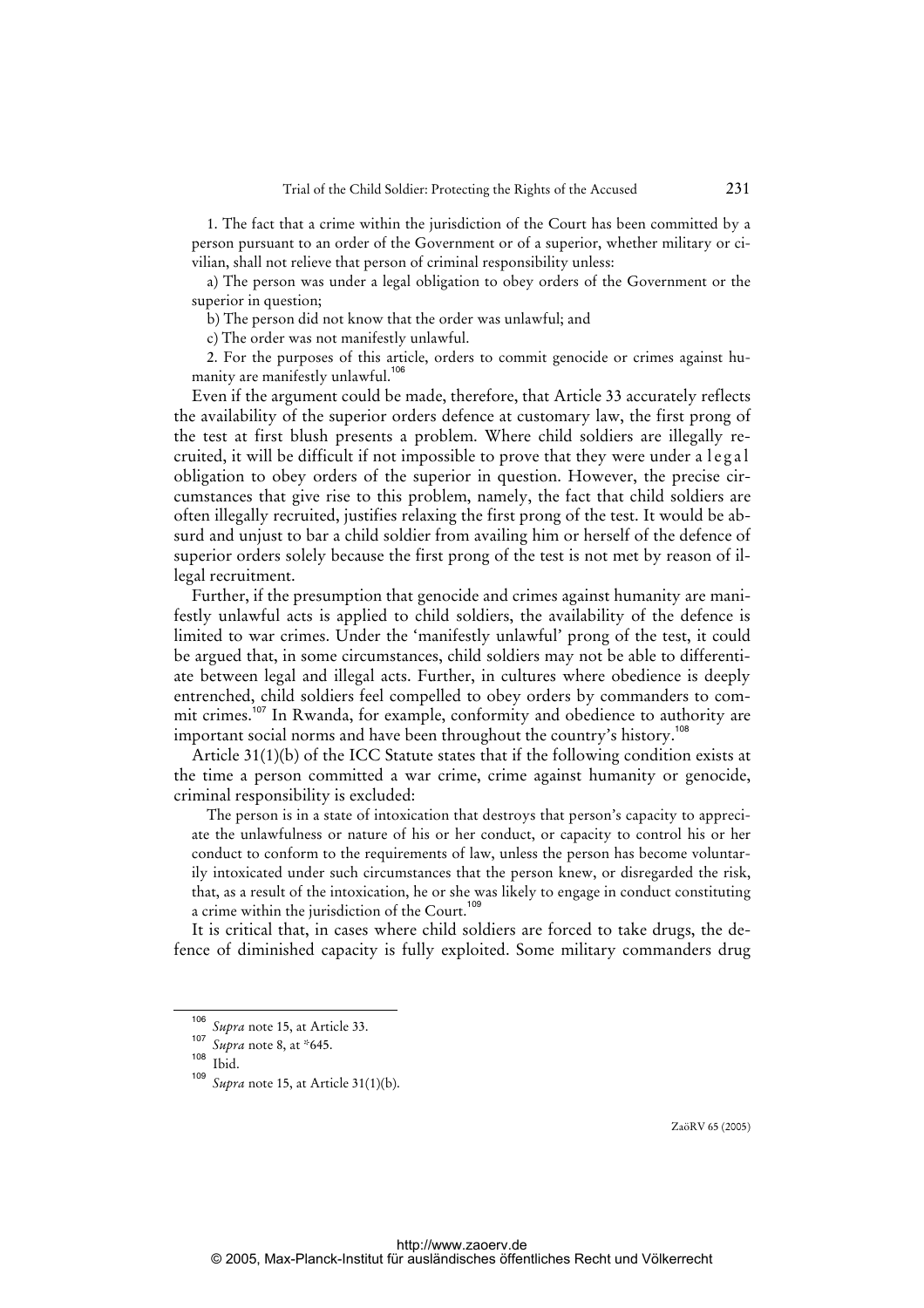1. The fact that a crime within the jurisdiction of the Court has been committed by a person pursuant to an order of the Government or of a superior, whether military or civilian, shall not relieve that person of criminal responsibility unless:

a) The person was under a legal obligation to obey orders of the Government or the superior in question;

b) The person did not know that the order was unlawful; and

c) The order was not manifestly unlawful.

2. For the purposes of this article, orders to commit genocide or crimes against humanity are manifestly unlawful.<sup>106</sup>

Even if the argument could be made, therefore, that Article 33 accurately reflects the availability of the superior orders defence at customary law, the first prong of the test at first blush presents a problem. Where child soldiers are illegally recruited, it will be difficult if not impossible to prove that they were under a l e g a l obligation to obey orders of the superior in question. However, the precise circumstances that give rise to this problem, namely, the fact that child soldiers are often illegally recruited, justifies relaxing the first prong of the test. It would be absurd and unjust to bar a child soldier from availing him or herself of the defence of superior orders solely because the first prong of the test is not met by reason of illegal recruitment.

Further, if the presumption that genocide and crimes against humanity are manifestly unlawful acts is applied to child soldiers, the availability of the defence is limited to war crimes. Under the 'manifestly unlawful' prong of the test, it could be argued that, in some circumstances, child soldiers may not be able to differentiate between legal and illegal acts. Further, in cultures where obedience is deeply entrenched, child soldiers feel compelled to obey orders by commanders to commit crimes.<sup>107</sup> In Rwanda, for example, conformity and obedience to authority are important social norms and have been throughout the country's history.<sup>108</sup>

Article 31(1)(b) of the ICC Statute states that if the following condition exists at the time a person committed a war crime, crime against humanity or genocide, criminal responsibility is excluded:

The person is in a state of intoxication that destroys that person's capacity to appreciate the unlawfulness or nature of his or her conduct, or capacity to control his or her conduct to conform to the requirements of law, unless the person has become voluntarily intoxicated under such circumstances that the person knew, or disregarded the risk, that, as a result of the intoxication, he or she was likely to engage in conduct constituting a crime within the jurisdiction of the Court.<sup>109</sup>

It is critical that, in cases where child soldiers are forced to take drugs, the defence of diminished capacity is fully exploited. Some military commanders drug

<sup>106</sup> *Supra* note 15, at Article 33.

<sup>107</sup> <sup>107</sup> *Supra* note 8, at \*645.

 $\frac{108}{109}$  Ibid.

Supra note 15, at Article 31(1)(b).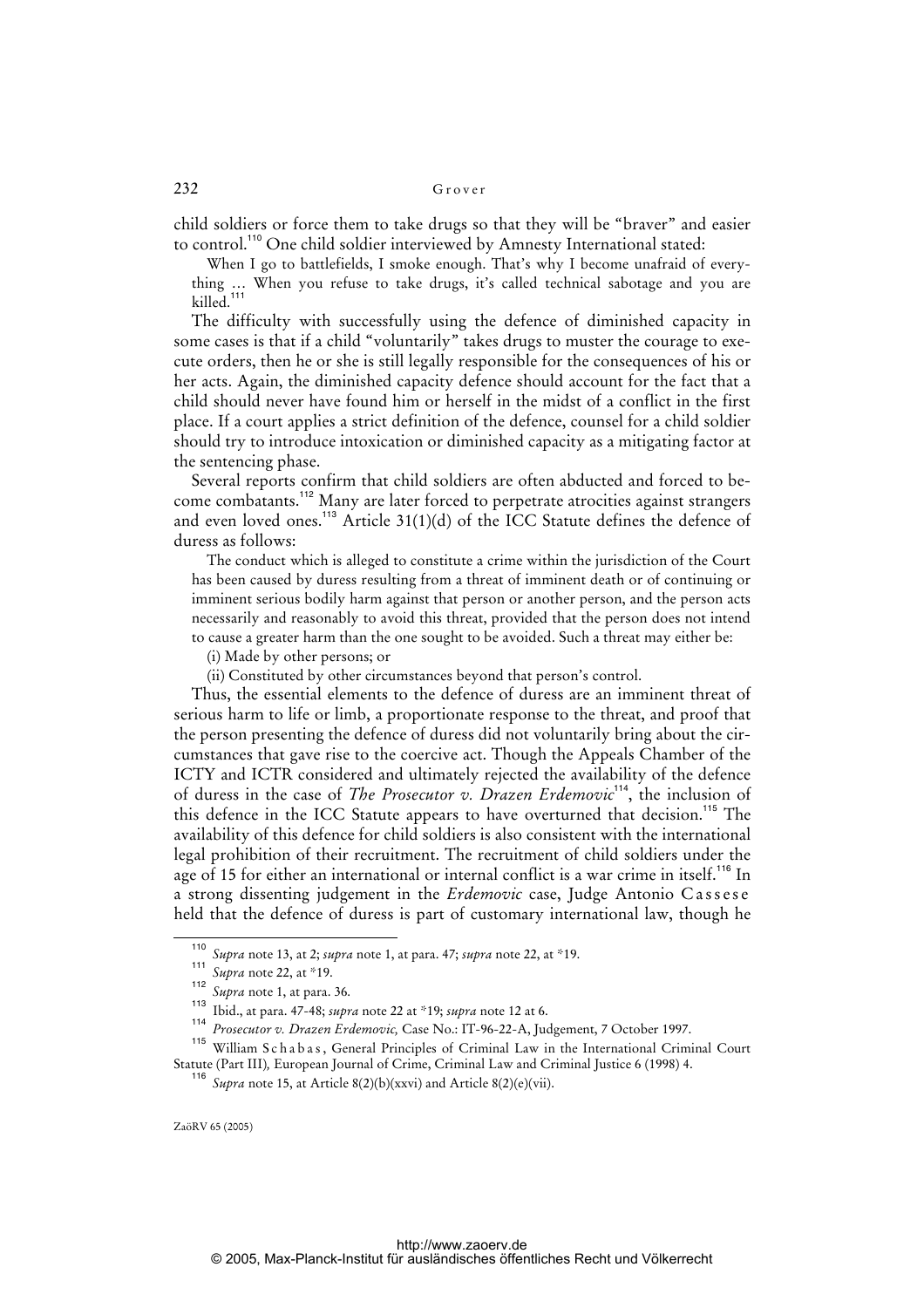child soldiers or force them to take drugs so that they will be "braver" and easier to control.<sup>110</sup> One child soldier interviewed by Amnesty International stated:

When I go to battlefields, I smoke enough. That's why I become unafraid of everything … When you refuse to take drugs, it's called technical sabotage and you are killed.<sup>111</sup>

The difficulty with successfully using the defence of diminished capacity in some cases is that if a child "voluntarily" takes drugs to muster the courage to execute orders, then he or she is still legally responsible for the consequences of his or her acts. Again, the diminished capacity defence should account for the fact that a child should never have found him or herself in the midst of a conflict in the first place. If a court applies a strict definition of the defence, counsel for a child soldier should try to introduce intoxication or diminished capacity as a mitigating factor at the sentencing phase.

Several reports confirm that child soldiers are often abducted and forced to become combatants.<sup>112</sup> Many are later forced to perpetrate atrocities against strangers and even loved ones.<sup>113</sup> Article 31(1)(d) of the ICC Statute defines the defence of duress as follows:

The conduct which is alleged to constitute a crime within the jurisdiction of the Court has been caused by duress resulting from a threat of imminent death or of continuing or imminent serious bodily harm against that person or another person, and the person acts necessarily and reasonably to avoid this threat, provided that the person does not intend to cause a greater harm than the one sought to be avoided. Such a threat may either be:

(i) Made by other persons; or

(ii) Constituted by other circumstances beyond that person's control.

Thus, the essential elements to the defence of duress are an imminent threat of serious harm to life or limb, a proportionate response to the threat, and proof that the person presenting the defence of duress did not voluntarily bring about the circumstances that gave rise to the coercive act. Though the Appeals Chamber of the ICTY and ICTR considered and ultimately rejected the availability of the defence of duress in the case of *The Prosecutor v. Drazen Erdemovic*<sup>114</sup>, the inclusion of this defence in the ICC Statute appears to have overturned that decision.<sup>115</sup> The availability of this defence for child soldiers is also consistent with the international legal prohibition of their recruitment. The recruitment of child soldiers under the age of 15 for either an international or internal conflict is a war crime in itself.<sup>116</sup> In a strong dissenting judgement in the *Erdemovic* case, Judge Antonio Cassese held that the defence of duress is part of customary international law, though he

<sup>110</sup> *Supra* note 13, at 2; *supra* note 1, at para. 47; *supra* note 22, at \*19.

<sup>111</sup> *Supra* note 22, at \*19.

<sup>112</sup> *Supra* note 1, at para. 36.

<sup>113</sup> Ibid., at para. 47-48; *supra* note 22 at \*19; *supra* note 12 at 6.

<sup>114</sup> *Prosecutor v. Drazen Erdemovic,* Case No.: IT-96-22-A, Judgement, 7 October 1997.

<sup>115</sup> William S c h a b a s, General Principles of Criminal Law in the International Criminal Court Statute (Part III)*, European Journal of Crime*, Criminal Law and Criminal Justice 6 (1998) 4.

Supra note 15, at Article 8(2)(b)(xxvi) and Article 8(2)(e)(vii).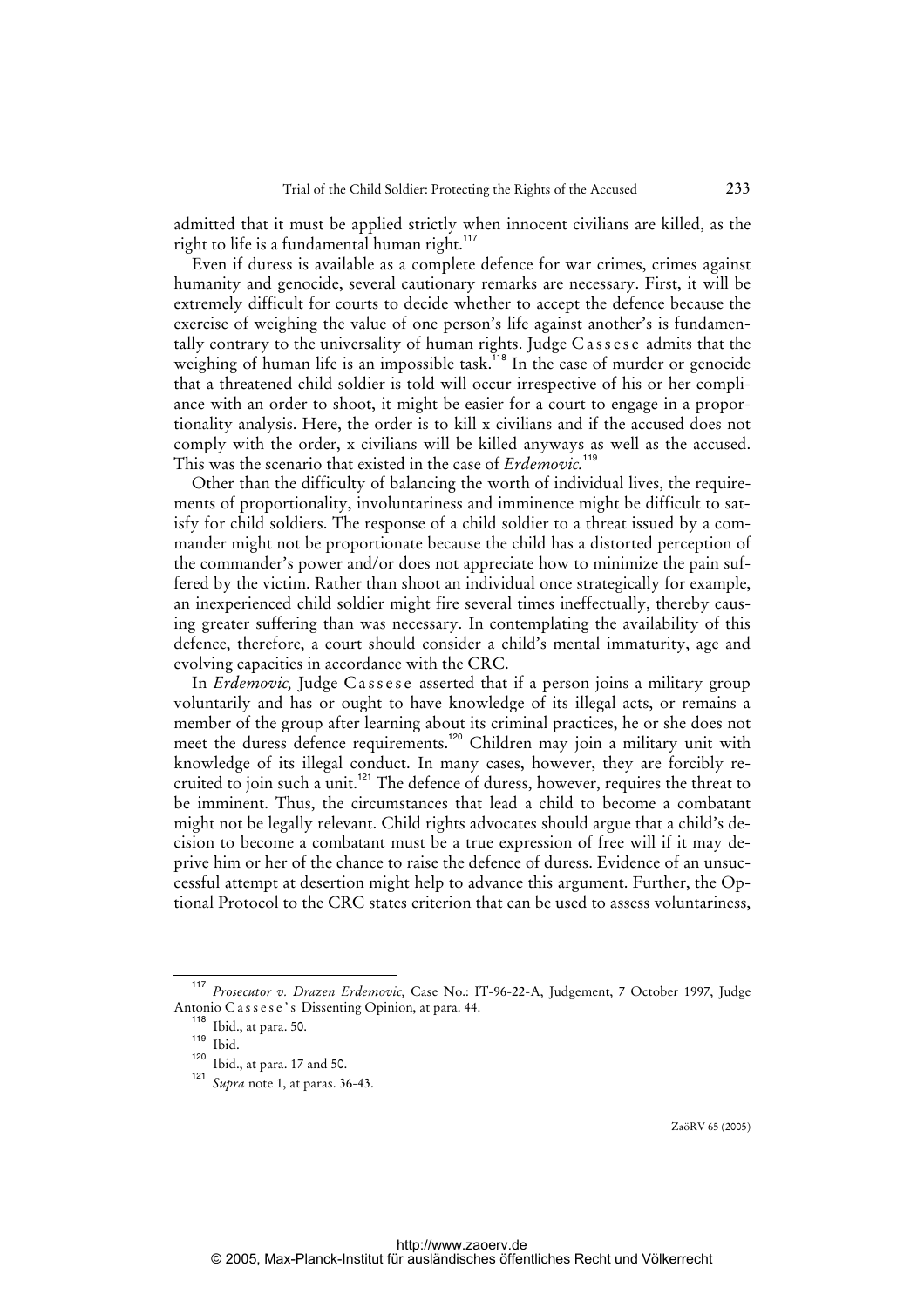admitted that it must be applied strictly when innocent civilians are killed, as the right to life is a fundamental human right.<sup>117</sup>

Even if duress is available as a complete defence for war crimes, crimes against humanity and genocide, several cautionary remarks are necessary. First, it will be extremely difficult for courts to decide whether to accept the defence because the exercise of weighing the value of one person's life against another's is fundamentally contrary to the universality of human rights. Judge Cassese admits that the weighing of human life is an impossible task.<sup>118</sup> In the case of murder or genocide that a threatened child soldier is told will occur irrespective of his or her compliance with an order to shoot, it might be easier for a court to engage in a proportionality analysis. Here, the order is to kill x civilians and if the accused does not comply with the order, x civilians will be killed anyways as well as the accused. This was the scenario that existed in the case of *Erdemovic.*<sup>119</sup>

Other than the difficulty of balancing the worth of individual lives, the requirements of proportionality, involuntariness and imminence might be difficult to satisfy for child soldiers. The response of a child soldier to a threat issued by a commander might not be proportionate because the child has a distorted perception of the commander's power and/or does not appreciate how to minimize the pain suffered by the victim. Rather than shoot an individual once strategically for example, an inexperienced child soldier might fire several times ineffectually, thereby causing greater suffering than was necessary. In contemplating the availability of this defence, therefore, a court should consider a child's mental immaturity, age and evolving capacities in accordance with the CRC.

In *Erdemovic*, Judge Cassese asserted that if a person joins a military group voluntarily and has or ought to have knowledge of its illegal acts, or remains a member of the group after learning about its criminal practices, he or she does not meet the duress defence requirements.<sup>120</sup> Children may join a military unit with knowledge of its illegal conduct. In many cases, however, they are forcibly recruited to join such a unit.<sup>121</sup> The defence of duress, however, requires the threat to be imminent. Thus, the circumstances that lead a child to become a combatant might not be legally relevant. Child rights advocates should argue that a child's decision to become a combatant must be a true expression of free will if it may deprive him or her of the chance to raise the defence of duress. Evidence of an unsuccessful attempt at desertion might help to advance this argument. Further, the Optional Protocol to the CRC states criterion that can be used to assess voluntariness,

<sup>117</sup> *Prosecutor v. Drazen Erdemovic,* Case No.: IT-96-22-A, Judgement, 7 October 1997, Judge Antonio Cassese's Dissenting Opinion, at para. 44.

<sup>118</sup> Ibid., at para. 50.

 $\frac{119}{120}$  Ibid.

 $\frac{120}{121}$  Ibid., at para. 17 and 50.

Supra note 1, at paras. 36-43.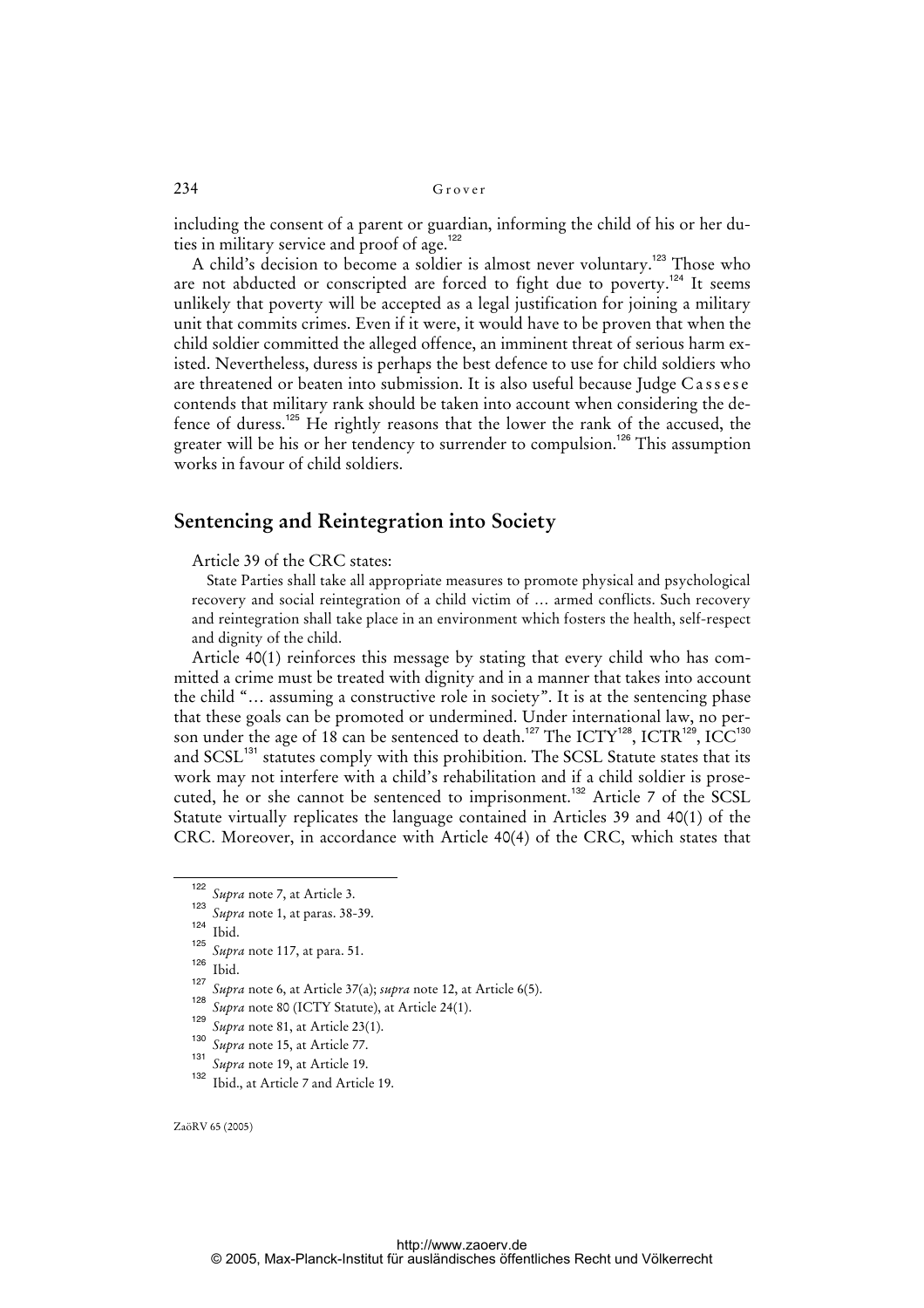including the consent of a parent or guardian, informing the child of his or her duties in military service and proof of age.<sup>122</sup>

A child's decision to become a soldier is almost never voluntary.<sup>123</sup> Those who are not abducted or conscripted are forced to fight due to poverty.<sup>124</sup> It seems unlikely that poverty will be accepted as a legal justification for joining a military unit that commits crimes. Even if it were, it would have to be proven that when the child soldier committed the alleged offence, an imminent threat of serious harm existed. Nevertheless, duress is perhaps the best defence to use for child soldiers who are threatened or beaten into submission. It is also useful because Judge Cassese contends that military rank should be taken into account when considering the defence of duress.<sup>125</sup> He rightly reasons that the lower the rank of the accused, the greater will be his or her tendency to surrender to compulsion.<sup>126</sup> This assumption works in favour of child soldiers.

## **Sentencing and Reintegration into Society**

Article 39 of the CRC states:

State Parties shall take all appropriate measures to promote physical and psychological recovery and social reintegration of a child victim of … armed conflicts. Such recovery and reintegration shall take place in an environment which fosters the health, self-respect and dignity of the child.

Article 40(1) reinforces this message by stating that every child who has committed a crime must be treated with dignity and in a manner that takes into account the child "… assuming a constructive role in society". It is at the sentencing phase that these goals can be promoted or undermined. Under international law, no person under the age of 18 can be sentenced to death.<sup>127</sup> The ICTY<sup>128</sup>, ICTR<sup>129</sup>, ICC<sup>130</sup> and SCSL<sup>131</sup> statutes comply with this prohibition. The SCSL Statute states that its work may not interfere with a child's rehabilitation and if a child soldier is prosecuted, he or she cannot be sentenced to imprisonment.<sup>132</sup> Article 7 of the SCSL Statute virtually replicates the language contained in Articles 39 and 40(1) of the CRC. Moreover, in accordance with Article 40(4) of the CRC, which states that

- *Supra* note 19, at Article 19.
- <sup>132</sup> Ibid., at Article 7 and Article 19.

<sup>122</sup> *Supra* note 7, at Article 3. 123

*Supra* note 1, at paras. 38-39.

 $124$  Ibid.

<sup>125</sup> *Supra* note 117, at para. 51.

 $126$  Ibid. 127

*Supra* note 6, at Article 37(a); *supra* note 12, at Article 6(5).

<sup>128</sup> *Supra* note 80 (ICTY Statute), at Article 24(1).

<sup>129</sup> *Supra* note 81, at Article 23(1). 130

*Supra* note 15, at Article 77. 131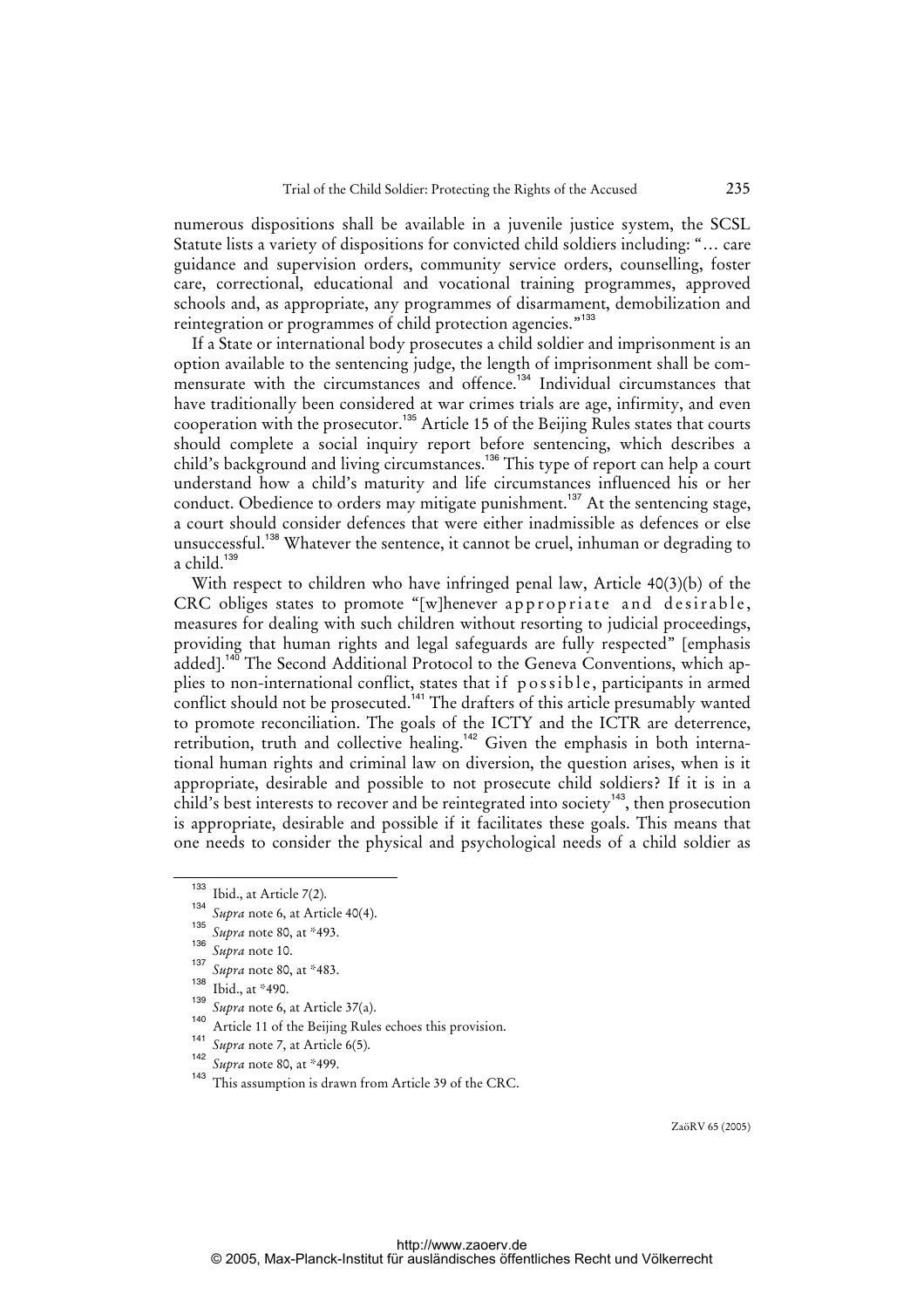numerous dispositions shall be available in a juvenile justice system, the SCSL Statute lists a variety of dispositions for convicted child soldiers including: "… care guidance and supervision orders, community service orders, counselling, foster care, correctional, educational and vocational training programmes, approved schools and, as appropriate, any programmes of disarmament, demobilization and reintegration or programmes of child protection agencies."<sup>133</sup>

If a State or international body prosecutes a child soldier and imprisonment is an option available to the sentencing judge, the length of imprisonment shall be commensurate with the circumstances and offence.<sup>134</sup> Individual circumstances that have traditionally been considered at war crimes trials are age, infirmity, and even cooperation with the prosecutor.<sup>135</sup> Article 15 of the Beijing Rules states that courts should complete a social inquiry report before sentencing, which describes a child's background and living circumstances.<sup>136</sup> This type of report can help a court understand how a child's maturity and life circumstances influenced his or her conduct. Obedience to orders may mitigate punishment.<sup>137</sup> At the sentencing stage, a court should consider defences that were either inadmissible as defences or else unsuccessful.<sup>138</sup> Whatever the sentence, it cannot be cruel, inhuman or degrading to a child. $139$ 

With respect to children who have infringed penal law, Article 40(3)(b) of the CRC obliges states to promote "[w]henever appropriate and desirable, measures for dealing with such children without resorting to judicial proceedings, providing that human rights and legal safeguards are fully respected" [emphasis added].<sup>140</sup> The Second Additional Protocol to the Geneva Conventions, which applies to non-international conflict, states that if possible, participants in armed conflict should not be prosecuted.<sup>141</sup> The drafters of this article presumably wanted to promote reconciliation. The goals of the ICTY and the ICTR are deterrence, retribution, truth and collective healing.<sup>142</sup> Given the emphasis in both international human rights and criminal law on diversion, the question arises, when is it appropriate, desirable and possible to not prosecute child soldiers? If it is in a child's best interests to recover and be reintegrated into society<sup>143</sup>, then prosecution is appropriate, desirable and possible if it facilitates these goals. This means that one needs to consider the physical and psychological needs of a child soldier as

<sup>133</sup> Ibid., at Article 7(2).

<sup>134</sup> <sup>134</sup> Supra note 6, at Article 40(4).

Supra note 80, at \*493.

<sup>136</sup> <sup>136</sup> Supra note 10.

<sup>&</sup>lt;sup>137</sup> *Supra* note 80, at \*483.

Ibid., at \*490.

<sup>139</sup> *Supra* note 6, at Article 37(a).

Article 11 of the Beijing Rules echoes this provision. 141

*Supra* note 7, at Article 6(5). 142

*Supra* note 80, at \*499.

This assumption is drawn from Article 39 of the CRC.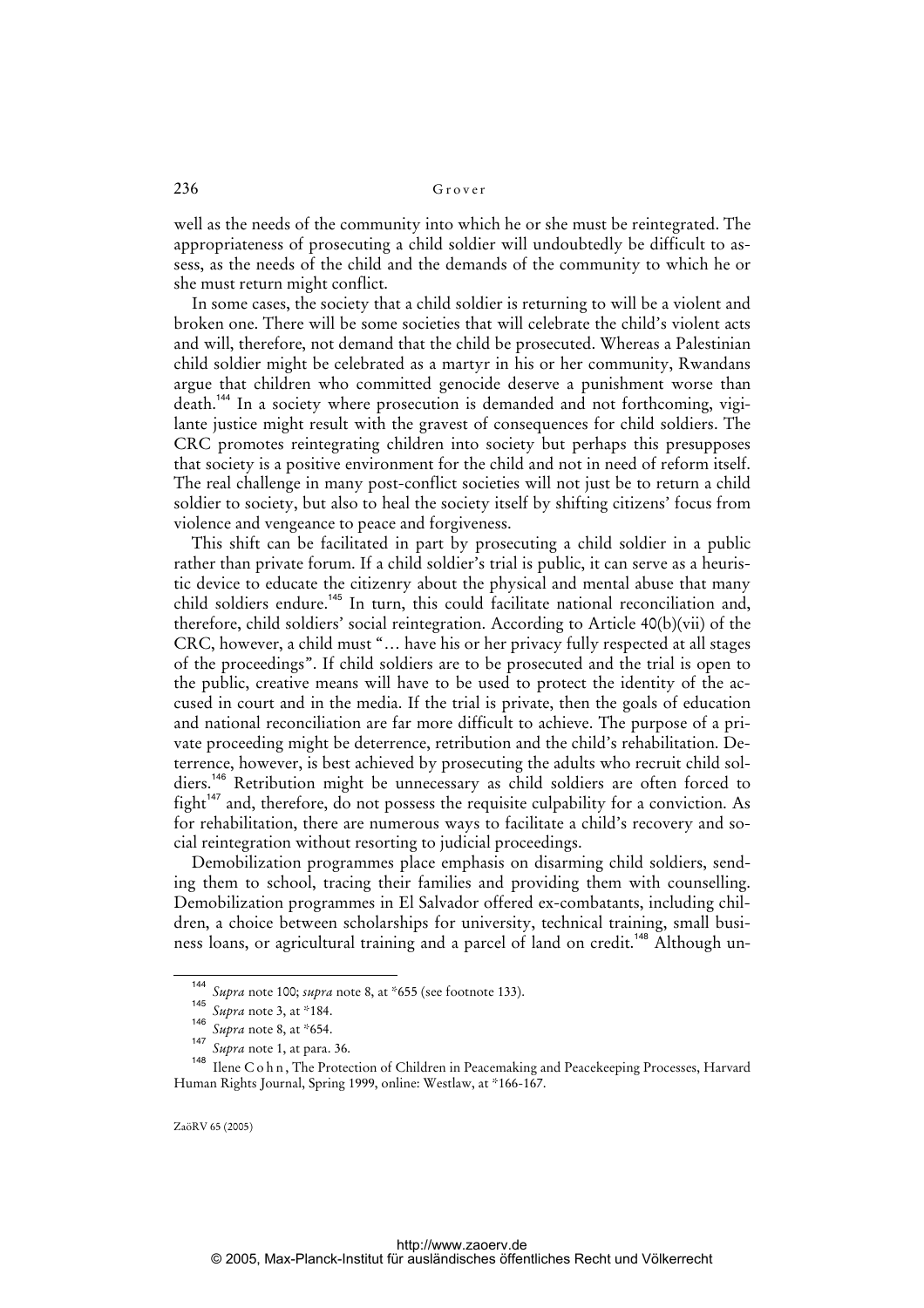well as the needs of the community into which he or she must be reintegrated. The appropriateness of prosecuting a child soldier will undoubtedly be difficult to assess, as the needs of the child and the demands of the community to which he or she must return might conflict.

In some cases, the society that a child soldier is returning to will be a violent and broken one. There will be some societies that will celebrate the child's violent acts and will, therefore, not demand that the child be prosecuted. Whereas a Palestinian child soldier might be celebrated as a martyr in his or her community, Rwandans argue that children who committed genocide deserve a punishment worse than death.<sup>144</sup> In a society where prosecution is demanded and not forthcoming, vigilante justice might result with the gravest of consequences for child soldiers. The CRC promotes reintegrating children into society but perhaps this presupposes that society is a positive environment for the child and not in need of reform itself. The real challenge in many post-conflict societies will not just be to return a child soldier to society, but also to heal the society itself by shifting citizens' focus from violence and vengeance to peace and forgiveness.

This shift can be facilitated in part by prosecuting a child soldier in a public rather than private forum. If a child soldier's trial is public, it can serve as a heuristic device to educate the citizenry about the physical and mental abuse that many child soldiers endure.<sup>145</sup> In turn, this could facilitate national reconciliation and, therefore, child soldiers' social reintegration. According to Article 40(b)(vii) of the CRC, however, a child must "… have his or her privacy fully respected at all stages of the proceedings". If child soldiers are to be prosecuted and the trial is open to the public, creative means will have to be used to protect the identity of the accused in court and in the media. If the trial is private, then the goals of education and national reconciliation are far more difficult to achieve. The purpose of a private proceeding might be deterrence, retribution and the child's rehabilitation. Deterrence, however, is best achieved by prosecuting the adults who recruit child soldiers.<sup>146</sup> Retribution might be unnecessary as child soldiers are often forced to fight<sup>147</sup> and, therefore, do not possess the requisite culpability for a conviction. As for rehabilitation, there are numerous ways to facilitate a child's recovery and social reintegration without resorting to judicial proceedings.

Demobilization programmes place emphasis on disarming child soldiers, sending them to school, tracing their families and providing them with counselling. Demobilization programmes in El Salvador offered ex-combatants, including children, a choice between scholarships for university, technical training, small business loans, or agricultural training and a parcel of land on credit.<sup>148</sup> Although un-

<sup>144</sup> *Supra* note 100; *supra* note 8, at \*655 (see footnote 133). 145

*Supra* note 3, at \*184. 146

*Supra* note 8, at \*654.

<sup>147</sup> *Supra* note 1, at para. 36.

<sup>&</sup>lt;sup>148</sup> Ilene C o h n, The Protection of Children in Peacemaking and Peacekeeping Processes, Harvard Human Rights Journal, Spring 1999, online: Westlaw, at \*166-167.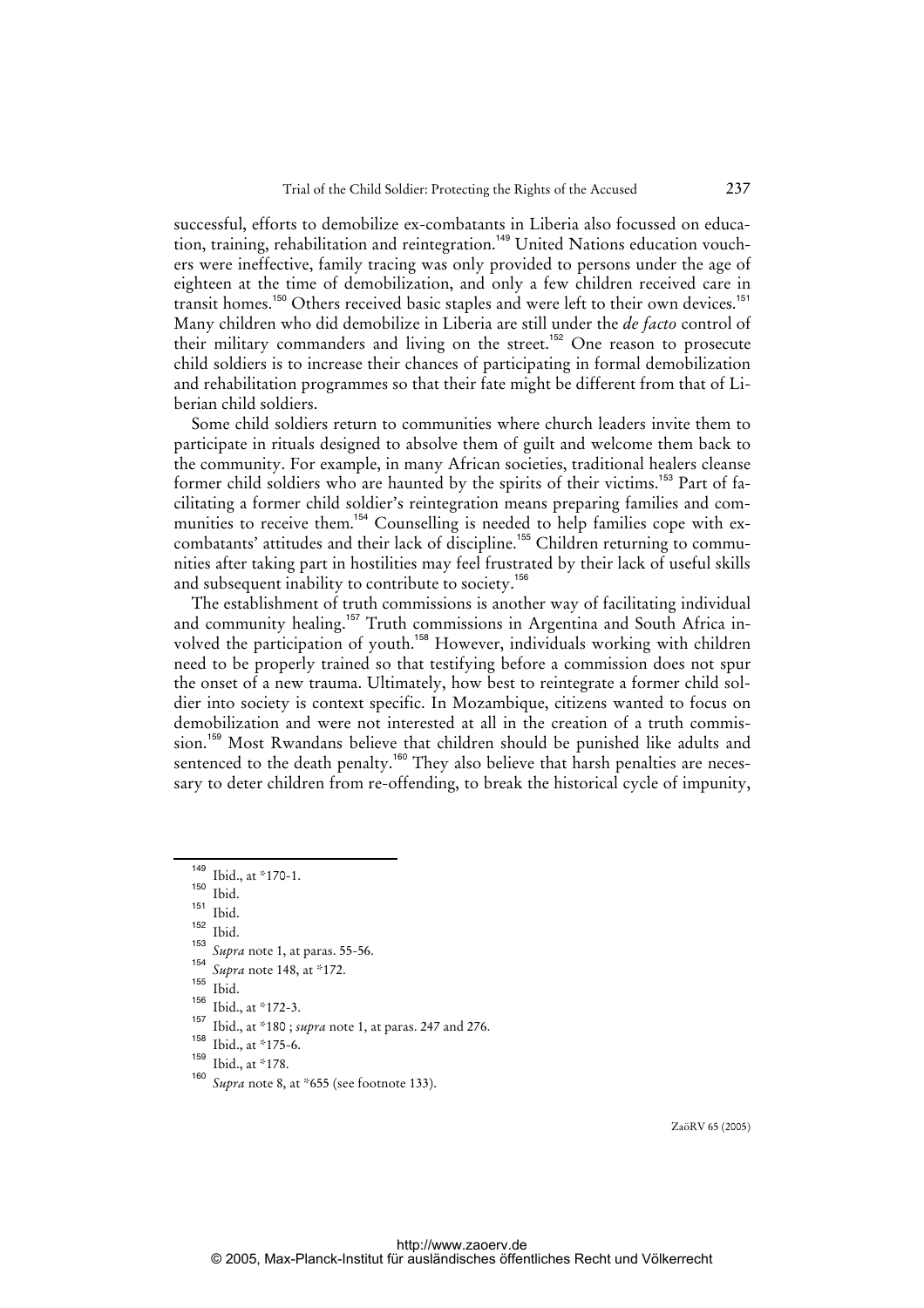successful, efforts to demobilize ex-combatants in Liberia also focussed on education, training, rehabilitation and reintegration.<sup>149</sup> United Nations education vouchers were ineffective, family tracing was only provided to persons under the age of eighteen at the time of demobilization, and only a few children received care in transit homes.<sup>150</sup> Others received basic staples and were left to their own devices.<sup>151</sup> Many children who did demobilize in Liberia are still under the *de facto* control of their military commanders and living on the street.<sup>152</sup> One reason to prosecute child soldiers is to increase their chances of participating in formal demobilization and rehabilitation programmes so that their fate might be different from that of Liberian child soldiers.

Some child soldiers return to communities where church leaders invite them to participate in rituals designed to absolve them of guilt and welcome them back to the community. For example, in many African societies, traditional healers cleanse former child soldiers who are haunted by the spirits of their victims.<sup>153</sup> Part of facilitating a former child soldier's reintegration means preparing families and communities to receive them.<sup>154</sup> Counselling is needed to help families cope with excombatants' attitudes and their lack of discipline.<sup>155</sup> Children returning to communities after taking part in hostilities may feel frustrated by their lack of useful skills and subsequent inability to contribute to society.<sup>156</sup>

The establishment of truth commissions is another way of facilitating individual and community healing.<sup>157</sup> Truth commissions in Argentina and South Africa involved the participation of youth.<sup>158</sup> However, individuals working with children need to be properly trained so that testifying before a commission does not spur the onset of a new trauma. Ultimately, how best to reintegrate a former child soldier into society is context specific. In Mozambique, citizens wanted to focus on demobilization and were not interested at all in the creation of a truth commission.<sup>159</sup> Most Rwandans believe that children should be punished like adults and sentenced to the death penalty.<sup>160</sup> They also believe that harsh penalties are necessary to deter children from re-offending, to break the historical cycle of impunity,

Ibid.

 $\frac{149}{150}$  Ibid., at \*170-1.

 $\frac{150}{151}$  Ibid.

 $\frac{151}{152}$  Ibid.

<sup>153</sup> *Supra* note 1, at paras. 55-56.

<sup>154</sup> *Supra* note 148, at \*172.

 $\frac{155}{156}$  Ibid.

 $\frac{156}{157}$  Ibid., at \*172-3.

<sup>157</sup> Ibid., at \*180 ; *supra* note 1, at paras. 247 and 276.

 $\frac{158}{159}$  Ibid., at \*175-6.

 $\frac{159}{160}$  Ibid., at \*178.

Supra note 8, at \*655 (see footnote 133).